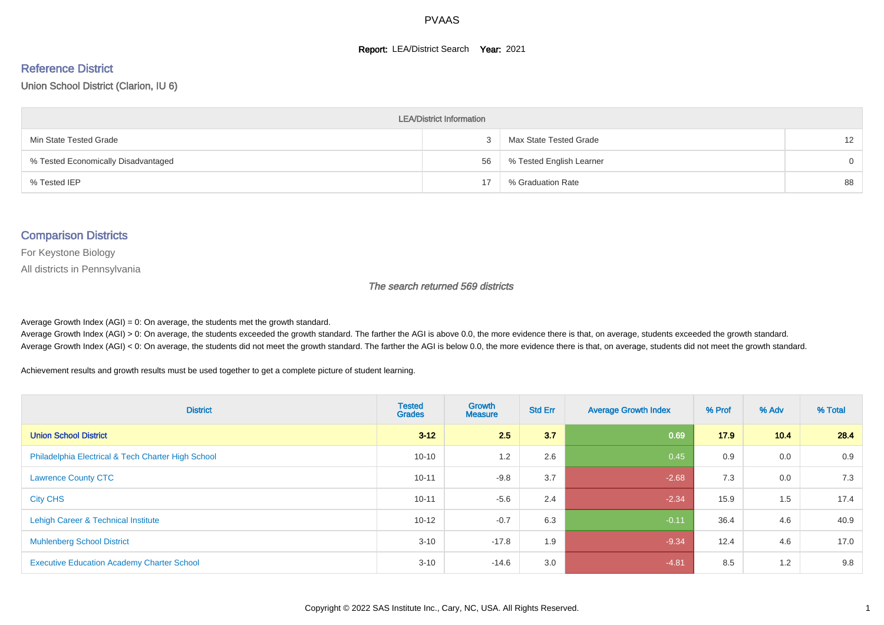#### **Report: LEA/District Search Year: 2021**

# Reference District

Union School District (Clarion, IU 6)

| <b>LEA/District Information</b>     |    |                          |                   |  |  |  |  |  |  |
|-------------------------------------|----|--------------------------|-------------------|--|--|--|--|--|--|
| Min State Tested Grade              |    | Max State Tested Grade   | $12 \overline{ }$ |  |  |  |  |  |  |
| % Tested Economically Disadvantaged | 56 | % Tested English Learner | $\Omega$          |  |  |  |  |  |  |
| % Tested IEP                        | 17 | % Graduation Rate        | 88                |  |  |  |  |  |  |

#### Comparison Districts

For Keystone Biology

All districts in Pennsylvania

The search returned 569 districts

Average Growth Index  $(AGI) = 0$ : On average, the students met the growth standard.

Average Growth Index (AGI) > 0: On average, the students exceeded the growth standard. The farther the AGI is above 0.0, the more evidence there is that, on average, students exceeded the growth standard. Average Growth Index (AGI) < 0: On average, the students did not meet the growth standard. The farther the AGI is below 0.0, the more evidence there is that, on average, students did not meet the growth standard.

Achievement results and growth results must be used together to get a complete picture of student learning.

| <b>District</b>                                    | <b>Tested</b><br><b>Grades</b> | Growth<br><b>Measure</b> | <b>Std Err</b> | <b>Average Growth Index</b> | % Prof | % Adv | % Total |
|----------------------------------------------------|--------------------------------|--------------------------|----------------|-----------------------------|--------|-------|---------|
| <b>Union School District</b>                       | $3 - 12$                       | 2.5                      | 3.7            | 0.69                        | 17.9   | 10.4  | 28.4    |
| Philadelphia Electrical & Tech Charter High School | $10 - 10$                      | 1.2                      | 2.6            | 0.45                        | 0.9    | 0.0   | 0.9     |
| <b>Lawrence County CTC</b>                         | $10 - 11$                      | $-9.8$                   | 3.7            | $-2.68$                     | 7.3    | 0.0   | 7.3     |
| <b>City CHS</b>                                    | $10 - 11$                      | $-5.6$                   | 2.4            | $-2.34$                     | 15.9   | 1.5   | 17.4    |
| Lehigh Career & Technical Institute                | $10 - 12$                      | $-0.7$                   | 6.3            | $-0.11$                     | 36.4   | 4.6   | 40.9    |
| <b>Muhlenberg School District</b>                  | $3 - 10$                       | $-17.8$                  | 1.9            | $-9.34$                     | 12.4   | 4.6   | 17.0    |
| <b>Executive Education Academy Charter School</b>  | $3 - 10$                       | $-14.6$                  | 3.0            | $-4.81$                     | 8.5    | 1.2   | 9.8     |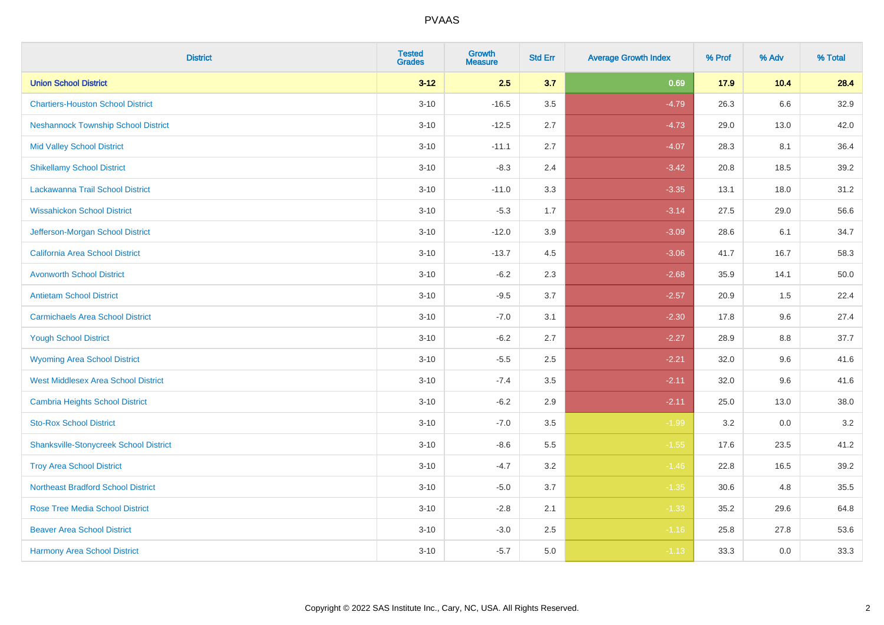| <b>District</b>                               | <b>Tested</b><br><b>Grades</b> | <b>Growth</b><br><b>Measure</b> | <b>Std Err</b> | <b>Average Growth Index</b> | % Prof | % Adv | % Total |
|-----------------------------------------------|--------------------------------|---------------------------------|----------------|-----------------------------|--------|-------|---------|
| <b>Union School District</b>                  | $3 - 12$                       | 2.5                             | 3.7            | 0.69                        | 17.9   | 10.4  | 28.4    |
| <b>Chartiers-Houston School District</b>      | $3 - 10$                       | $-16.5$                         | 3.5            | $-4.79$                     | 26.3   | 6.6   | 32.9    |
| <b>Neshannock Township School District</b>    | $3 - 10$                       | $-12.5$                         | 2.7            | $-4.73$                     | 29.0   | 13.0  | 42.0    |
| <b>Mid Valley School District</b>             | $3 - 10$                       | $-11.1$                         | 2.7            | $-4.07$                     | 28.3   | 8.1   | 36.4    |
| <b>Shikellamy School District</b>             | $3 - 10$                       | $-8.3$                          | 2.4            | $-3.42$                     | 20.8   | 18.5  | 39.2    |
| Lackawanna Trail School District              | $3 - 10$                       | $-11.0$                         | 3.3            | $-3.35$                     | 13.1   | 18.0  | 31.2    |
| <b>Wissahickon School District</b>            | $3 - 10$                       | $-5.3$                          | 1.7            | $-3.14$                     | 27.5   | 29.0  | 56.6    |
| Jefferson-Morgan School District              | $3 - 10$                       | $-12.0$                         | 3.9            | $-3.09$                     | 28.6   | 6.1   | 34.7    |
| <b>California Area School District</b>        | $3 - 10$                       | $-13.7$                         | 4.5            | $-3.06$                     | 41.7   | 16.7  | 58.3    |
| <b>Avonworth School District</b>              | $3 - 10$                       | $-6.2$                          | 2.3            | $-2.68$                     | 35.9   | 14.1  | 50.0    |
| <b>Antietam School District</b>               | $3 - 10$                       | $-9.5$                          | 3.7            | $-2.57$                     | 20.9   | 1.5   | 22.4    |
| <b>Carmichaels Area School District</b>       | $3 - 10$                       | $-7.0$                          | 3.1            | $-2.30$                     | 17.8   | 9.6   | 27.4    |
| <b>Yough School District</b>                  | $3 - 10$                       | $-6.2$                          | 2.7            | $-2.27$                     | 28.9   | 8.8   | 37.7    |
| <b>Wyoming Area School District</b>           | $3 - 10$                       | $-5.5$                          | 2.5            | $-2.21$                     | 32.0   | 9.6   | 41.6    |
| <b>West Middlesex Area School District</b>    | $3 - 10$                       | $-7.4$                          | 3.5            | $-2.11$                     | 32.0   | 9.6   | 41.6    |
| <b>Cambria Heights School District</b>        | $3 - 10$                       | $-6.2$                          | 2.9            | $-2.11$                     | 25.0   | 13.0  | 38.0    |
| <b>Sto-Rox School District</b>                | $3 - 10$                       | $-7.0$                          | 3.5            | $-1.99$                     | 3.2    | 0.0   | $3.2\,$ |
| <b>Shanksville-Stonycreek School District</b> | $3 - 10$                       | $-8.6$                          | 5.5            | $-1.55$                     | 17.6   | 23.5  | 41.2    |
| <b>Troy Area School District</b>              | $3 - 10$                       | $-4.7$                          | 3.2            | $-1.46$                     | 22.8   | 16.5  | 39.2    |
| <b>Northeast Bradford School District</b>     | $3 - 10$                       | $-5.0$                          | 3.7            | $-1.35$                     | 30.6   | 4.8   | 35.5    |
| <b>Rose Tree Media School District</b>        | $3 - 10$                       | $-2.8$                          | 2.1            | $-1.33$                     | 35.2   | 29.6  | 64.8    |
| <b>Beaver Area School District</b>            | $3 - 10$                       | $-3.0$                          | 2.5            | $-1.16$                     | 25.8   | 27.8  | 53.6    |
| <b>Harmony Area School District</b>           | $3 - 10$                       | $-5.7$                          | 5.0            | $-1.13$                     | 33.3   | 0.0   | 33.3    |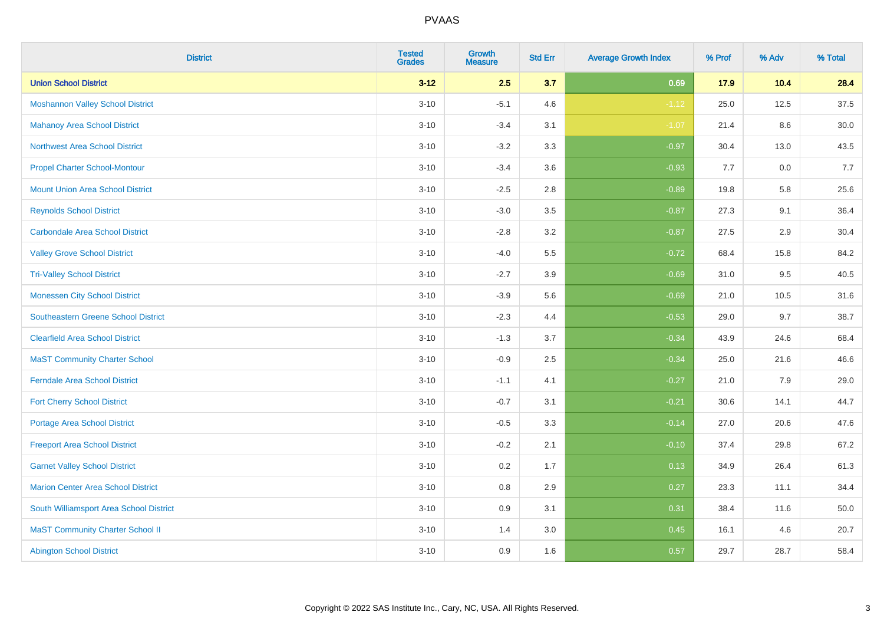| <b>District</b>                            | <b>Tested</b><br><b>Grades</b> | Growth<br><b>Measure</b> | <b>Std Err</b> | <b>Average Growth Index</b> | % Prof | % Adv | % Total |
|--------------------------------------------|--------------------------------|--------------------------|----------------|-----------------------------|--------|-------|---------|
| <b>Union School District</b>               | $3 - 12$                       | 2.5                      | 3.7            | 0.69                        | 17.9   | 10.4  | 28.4    |
| <b>Moshannon Valley School District</b>    | $3 - 10$                       | $-5.1$                   | 4.6            | $-1.12$                     | 25.0   | 12.5  | 37.5    |
| <b>Mahanoy Area School District</b>        | $3 - 10$                       | $-3.4$                   | 3.1            | $-1.07$                     | 21.4   | 8.6   | 30.0    |
| <b>Northwest Area School District</b>      | $3 - 10$                       | $-3.2$                   | 3.3            | $-0.97$                     | 30.4   | 13.0  | 43.5    |
| <b>Propel Charter School-Montour</b>       | $3 - 10$                       | $-3.4$                   | 3.6            | $-0.93$                     | 7.7    | 0.0   | 7.7     |
| <b>Mount Union Area School District</b>    | $3 - 10$                       | $-2.5$                   | 2.8            | $-0.89$                     | 19.8   | 5.8   | 25.6    |
| <b>Reynolds School District</b>            | $3 - 10$                       | $-3.0$                   | 3.5            | $-0.87$                     | 27.3   | 9.1   | 36.4    |
| <b>Carbondale Area School District</b>     | $3 - 10$                       | $-2.8$                   | 3.2            | $-0.87$                     | 27.5   | 2.9   | 30.4    |
| <b>Valley Grove School District</b>        | $3 - 10$                       | $-4.0$                   | 5.5            | $-0.72$                     | 68.4   | 15.8  | 84.2    |
| <b>Tri-Valley School District</b>          | $3 - 10$                       | $-2.7$                   | 3.9            | $-0.69$                     | 31.0   | 9.5   | 40.5    |
| <b>Monessen City School District</b>       | $3 - 10$                       | $-3.9$                   | 5.6            | $-0.69$                     | 21.0   | 10.5  | 31.6    |
| <b>Southeastern Greene School District</b> | $3 - 10$                       | $-2.3$                   | 4.4            | $-0.53$                     | 29.0   | 9.7   | 38.7    |
| <b>Clearfield Area School District</b>     | $3 - 10$                       | $-1.3$                   | 3.7            | $-0.34$                     | 43.9   | 24.6  | 68.4    |
| <b>MaST Community Charter School</b>       | $3 - 10$                       | $-0.9$                   | 2.5            | $-0.34$                     | 25.0   | 21.6  | 46.6    |
| <b>Ferndale Area School District</b>       | $3 - 10$                       | $-1.1$                   | 4.1            | $-0.27$                     | 21.0   | 7.9   | 29.0    |
| <b>Fort Cherry School District</b>         | $3 - 10$                       | $-0.7$                   | 3.1            | $-0.21$                     | 30.6   | 14.1  | 44.7    |
| <b>Portage Area School District</b>        | $3 - 10$                       | $-0.5$                   | 3.3            | $-0.14$                     | 27.0   | 20.6  | 47.6    |
| <b>Freeport Area School District</b>       | $3 - 10$                       | $-0.2$                   | 2.1            | $-0.10$                     | 37.4   | 29.8  | 67.2    |
| <b>Garnet Valley School District</b>       | $3 - 10$                       | 0.2                      | 1.7            | 0.13                        | 34.9   | 26.4  | 61.3    |
| <b>Marion Center Area School District</b>  | $3 - 10$                       | $0.8\,$                  | 2.9            | 0.27                        | 23.3   | 11.1  | 34.4    |
| South Williamsport Area School District    | $3 - 10$                       | 0.9                      | 3.1            | 0.31                        | 38.4   | 11.6  | 50.0    |
| <b>MaST Community Charter School II</b>    | $3 - 10$                       | 1.4                      | 3.0            | 0.45                        | 16.1   | 4.6   | 20.7    |
| <b>Abington School District</b>            | $3 - 10$                       | 0.9                      | 1.6            | 0.57                        | 29.7   | 28.7  | 58.4    |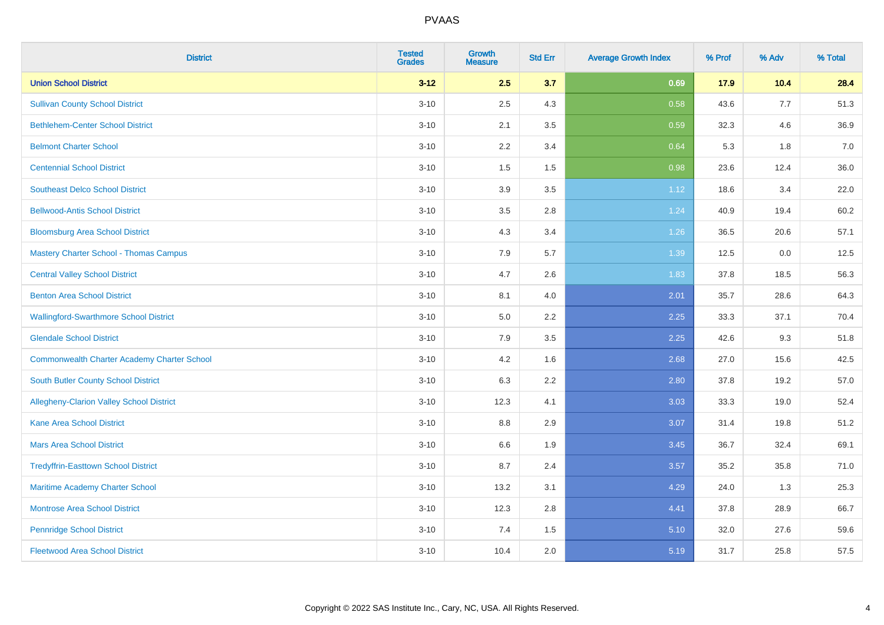| <b>District</b>                                    | <b>Tested</b><br><b>Grades</b> | Growth<br><b>Measure</b> | <b>Std Err</b> | <b>Average Growth Index</b> | % Prof | % Adv | % Total |
|----------------------------------------------------|--------------------------------|--------------------------|----------------|-----------------------------|--------|-------|---------|
| <b>Union School District</b>                       | $3 - 12$                       | 2.5                      | 3.7            | 0.69                        | 17.9   | 10.4  | 28.4    |
| <b>Sullivan County School District</b>             | $3 - 10$                       | 2.5                      | 4.3            | 0.58                        | 43.6   | 7.7   | 51.3    |
| <b>Bethlehem-Center School District</b>            | $3 - 10$                       | 2.1                      | 3.5            | 0.59                        | 32.3   | 4.6   | 36.9    |
| <b>Belmont Charter School</b>                      | $3 - 10$                       | 2.2                      | 3.4            | 0.64                        | 5.3    | 1.8   | 7.0     |
| <b>Centennial School District</b>                  | $3 - 10$                       | 1.5                      | 1.5            | 0.98                        | 23.6   | 12.4  | 36.0    |
| <b>Southeast Delco School District</b>             | $3 - 10$                       | 3.9                      | 3.5            | 1.12                        | 18.6   | 3.4   | 22.0    |
| <b>Bellwood-Antis School District</b>              | $3 - 10$                       | 3.5                      | 2.8            | 1.24                        | 40.9   | 19.4  | 60.2    |
| <b>Bloomsburg Area School District</b>             | $3 - 10$                       | 4.3                      | 3.4            | 1.26                        | 36.5   | 20.6  | 57.1    |
| <b>Mastery Charter School - Thomas Campus</b>      | $3 - 10$                       | 7.9                      | 5.7            | 1.39                        | 12.5   | 0.0   | 12.5    |
| <b>Central Valley School District</b>              | $3 - 10$                       | 4.7                      | 2.6            | 1.83                        | 37.8   | 18.5  | 56.3    |
| <b>Benton Area School District</b>                 | $3 - 10$                       | 8.1                      | 4.0            | 2.01                        | 35.7   | 28.6  | 64.3    |
| <b>Wallingford-Swarthmore School District</b>      | $3 - 10$                       | 5.0                      | 2.2            | 2.25                        | 33.3   | 37.1  | 70.4    |
| <b>Glendale School District</b>                    | $3 - 10$                       | 7.9                      | 3.5            | 2.25                        | 42.6   | 9.3   | 51.8    |
| <b>Commonwealth Charter Academy Charter School</b> | $3 - 10$                       | 4.2                      | 1.6            | 2.68                        | 27.0   | 15.6  | 42.5    |
| South Butler County School District                | $3 - 10$                       | 6.3                      | 2.2            | 2.80                        | 37.8   | 19.2  | 57.0    |
| Allegheny-Clarion Valley School District           | $3 - 10$                       | 12.3                     | 4.1            | 3.03                        | 33.3   | 19.0  | 52.4    |
| <b>Kane Area School District</b>                   | $3 - 10$                       | 8.8                      | 2.9            | 3.07                        | 31.4   | 19.8  | 51.2    |
| <b>Mars Area School District</b>                   | $3 - 10$                       | 6.6                      | 1.9            | 3.45                        | 36.7   | 32.4  | 69.1    |
| <b>Tredyffrin-Easttown School District</b>         | $3 - 10$                       | 8.7                      | 2.4            | 3.57                        | 35.2   | 35.8  | 71.0    |
| <b>Maritime Academy Charter School</b>             | $3 - 10$                       | 13.2                     | 3.1            | 4.29                        | 24.0   | 1.3   | 25.3    |
| <b>Montrose Area School District</b>               | $3 - 10$                       | 12.3                     | 2.8            | 4.41                        | 37.8   | 28.9  | 66.7    |
| <b>Pennridge School District</b>                   | $3 - 10$                       | 7.4                      | 1.5            | 5.10                        | 32.0   | 27.6  | 59.6    |
| <b>Fleetwood Area School District</b>              | $3 - 10$                       | 10.4                     | 2.0            | 5.19                        | 31.7   | 25.8  | 57.5    |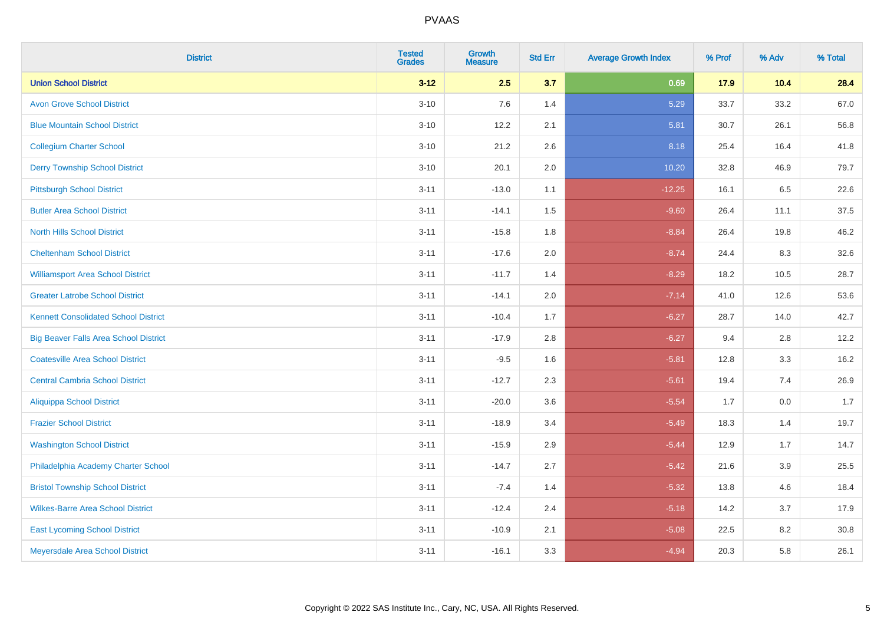| <b>District</b>                              | <b>Tested</b><br><b>Grades</b> | <b>Growth</b><br><b>Measure</b> | <b>Std Err</b> | <b>Average Growth Index</b> | % Prof | % Adv | % Total |
|----------------------------------------------|--------------------------------|---------------------------------|----------------|-----------------------------|--------|-------|---------|
| <b>Union School District</b>                 | $3 - 12$                       | 2.5                             | 3.7            | 0.69                        | 17.9   | 10.4  | 28.4    |
| <b>Avon Grove School District</b>            | $3 - 10$                       | 7.6                             | 1.4            | 5.29                        | 33.7   | 33.2  | 67.0    |
| <b>Blue Mountain School District</b>         | $3 - 10$                       | 12.2                            | 2.1            | 5.81                        | 30.7   | 26.1  | 56.8    |
| <b>Collegium Charter School</b>              | $3 - 10$                       | 21.2                            | 2.6            | 8.18                        | 25.4   | 16.4  | 41.8    |
| <b>Derry Township School District</b>        | $3 - 10$                       | 20.1                            | 2.0            | 10.20                       | 32.8   | 46.9  | 79.7    |
| <b>Pittsburgh School District</b>            | $3 - 11$                       | $-13.0$                         | 1.1            | $-12.25$                    | 16.1   | 6.5   | 22.6    |
| <b>Butler Area School District</b>           | $3 - 11$                       | $-14.1$                         | 1.5            | $-9.60$                     | 26.4   | 11.1  | 37.5    |
| <b>North Hills School District</b>           | $3 - 11$                       | $-15.8$                         | 1.8            | $-8.84$                     | 26.4   | 19.8  | 46.2    |
| <b>Cheltenham School District</b>            | $3 - 11$                       | $-17.6$                         | 2.0            | $-8.74$                     | 24.4   | 8.3   | 32.6    |
| <b>Williamsport Area School District</b>     | $3 - 11$                       | $-11.7$                         | 1.4            | $-8.29$                     | 18.2   | 10.5  | 28.7    |
| <b>Greater Latrobe School District</b>       | $3 - 11$                       | $-14.1$                         | 2.0            | $-7.14$                     | 41.0   | 12.6  | 53.6    |
| <b>Kennett Consolidated School District</b>  | $3 - 11$                       | $-10.4$                         | 1.7            | $-6.27$                     | 28.7   | 14.0  | 42.7    |
| <b>Big Beaver Falls Area School District</b> | $3 - 11$                       | $-17.9$                         | 2.8            | $-6.27$                     | 9.4    | 2.8   | 12.2    |
| <b>Coatesville Area School District</b>      | $3 - 11$                       | $-9.5$                          | 1.6            | $-5.81$                     | 12.8   | 3.3   | 16.2    |
| <b>Central Cambria School District</b>       | $3 - 11$                       | $-12.7$                         | 2.3            | $-5.61$                     | 19.4   | 7.4   | 26.9    |
| <b>Aliquippa School District</b>             | $3 - 11$                       | $-20.0$                         | 3.6            | $-5.54$                     | 1.7    | 0.0   | 1.7     |
| <b>Frazier School District</b>               | $3 - 11$                       | $-18.9$                         | 3.4            | $-5.49$                     | 18.3   | 1.4   | 19.7    |
| <b>Washington School District</b>            | $3 - 11$                       | $-15.9$                         | 2.9            | $-5.44$                     | 12.9   | 1.7   | 14.7    |
| Philadelphia Academy Charter School          | $3 - 11$                       | $-14.7$                         | 2.7            | $-5.42$                     | 21.6   | 3.9   | 25.5    |
| <b>Bristol Township School District</b>      | $3 - 11$                       | $-7.4$                          | 1.4            | $-5.32$                     | 13.8   | 4.6   | 18.4    |
| <b>Wilkes-Barre Area School District</b>     | $3 - 11$                       | $-12.4$                         | 2.4            | $-5.18$                     | 14.2   | 3.7   | 17.9    |
| <b>East Lycoming School District</b>         | $3 - 11$                       | $-10.9$                         | 2.1            | $-5.08$                     | 22.5   | 8.2   | 30.8    |
| Meyersdale Area School District              | $3 - 11$                       | $-16.1$                         | 3.3            | $-4.94$                     | 20.3   | 5.8   | 26.1    |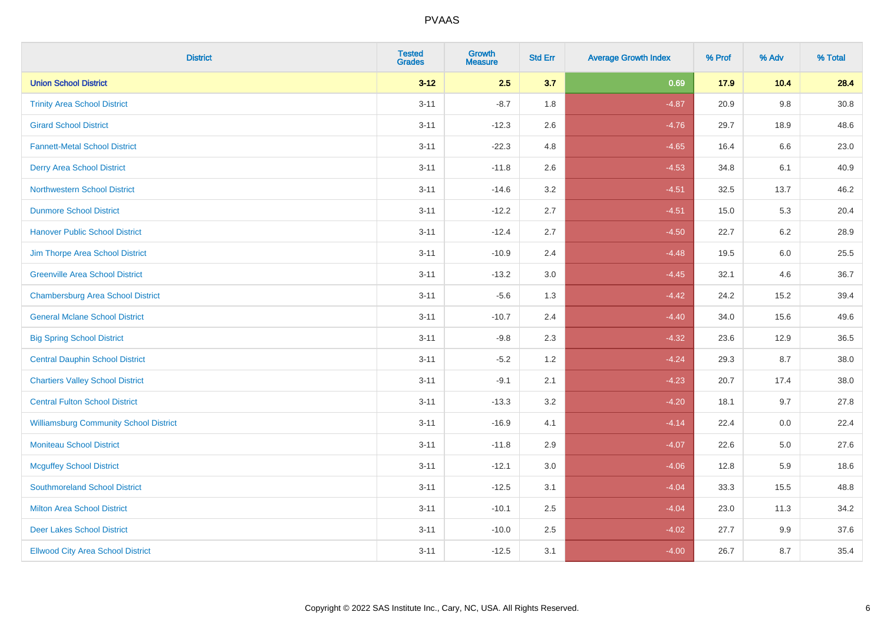| <b>District</b>                               | <b>Tested</b><br><b>Grades</b> | <b>Growth</b><br><b>Measure</b> | <b>Std Err</b> | <b>Average Growth Index</b> | % Prof | % Adv   | % Total |
|-----------------------------------------------|--------------------------------|---------------------------------|----------------|-----------------------------|--------|---------|---------|
| <b>Union School District</b>                  | $3 - 12$                       | 2.5                             | 3.7            | 0.69                        | 17.9   | 10.4    | 28.4    |
| <b>Trinity Area School District</b>           | $3 - 11$                       | $-8.7$                          | 1.8            | $-4.87$                     | 20.9   | 9.8     | 30.8    |
| <b>Girard School District</b>                 | $3 - 11$                       | $-12.3$                         | 2.6            | $-4.76$                     | 29.7   | 18.9    | 48.6    |
| <b>Fannett-Metal School District</b>          | $3 - 11$                       | $-22.3$                         | 4.8            | $-4.65$                     | 16.4   | 6.6     | 23.0    |
| <b>Derry Area School District</b>             | $3 - 11$                       | $-11.8$                         | 2.6            | $-4.53$                     | 34.8   | 6.1     | 40.9    |
| <b>Northwestern School District</b>           | $3 - 11$                       | $-14.6$                         | 3.2            | $-4.51$                     | 32.5   | 13.7    | 46.2    |
| <b>Dunmore School District</b>                | $3 - 11$                       | $-12.2$                         | 2.7            | $-4.51$                     | 15.0   | 5.3     | 20.4    |
| <b>Hanover Public School District</b>         | $3 - 11$                       | $-12.4$                         | 2.7            | $-4.50$                     | 22.7   | 6.2     | 28.9    |
| Jim Thorpe Area School District               | $3 - 11$                       | $-10.9$                         | 2.4            | $-4.48$                     | 19.5   | $6.0\,$ | 25.5    |
| <b>Greenville Area School District</b>        | $3 - 11$                       | $-13.2$                         | 3.0            | $-4.45$                     | 32.1   | 4.6     | 36.7    |
| <b>Chambersburg Area School District</b>      | $3 - 11$                       | $-5.6$                          | 1.3            | $-4.42$                     | 24.2   | 15.2    | 39.4    |
| <b>General Mclane School District</b>         | $3 - 11$                       | $-10.7$                         | 2.4            | $-4.40$                     | 34.0   | 15.6    | 49.6    |
| <b>Big Spring School District</b>             | $3 - 11$                       | $-9.8$                          | 2.3            | $-4.32$                     | 23.6   | 12.9    | 36.5    |
| <b>Central Dauphin School District</b>        | $3 - 11$                       | $-5.2$                          | 1.2            | $-4.24$                     | 29.3   | 8.7     | 38.0    |
| <b>Chartiers Valley School District</b>       | $3 - 11$                       | $-9.1$                          | 2.1            | $-4.23$                     | 20.7   | 17.4    | 38.0    |
| <b>Central Fulton School District</b>         | $3 - 11$                       | $-13.3$                         | 3.2            | $-4.20$                     | 18.1   | 9.7     | 27.8    |
| <b>Williamsburg Community School District</b> | $3 - 11$                       | $-16.9$                         | 4.1            | $-4.14$                     | 22.4   | $0.0\,$ | 22.4    |
| <b>Moniteau School District</b>               | $3 - 11$                       | $-11.8$                         | 2.9            | $-4.07$                     | 22.6   | 5.0     | 27.6    |
| <b>Mcguffey School District</b>               | $3 - 11$                       | $-12.1$                         | 3.0            | $-4.06$                     | 12.8   | 5.9     | 18.6    |
| <b>Southmoreland School District</b>          | $3 - 11$                       | $-12.5$                         | 3.1            | $-4.04$                     | 33.3   | 15.5    | 48.8    |
| <b>Milton Area School District</b>            | $3 - 11$                       | $-10.1$                         | 2.5            | $-4.04$                     | 23.0   | 11.3    | 34.2    |
| <b>Deer Lakes School District</b>             | $3 - 11$                       | $-10.0$                         | 2.5            | $-4.02$                     | 27.7   | 9.9     | 37.6    |
| <b>Ellwood City Area School District</b>      | $3 - 11$                       | $-12.5$                         | 3.1            | $-4.00$                     | 26.7   | 8.7     | 35.4    |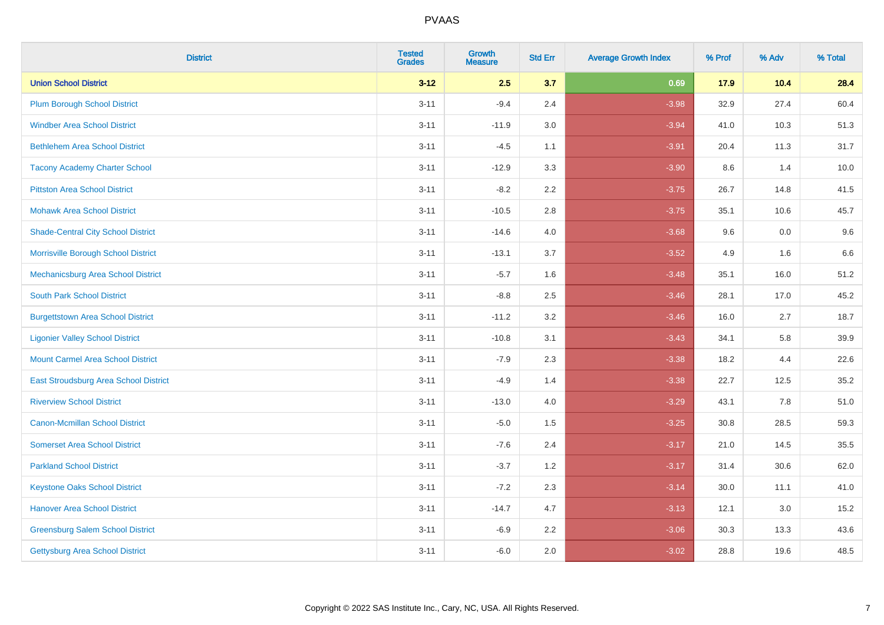| <b>District</b>                           | <b>Tested</b><br><b>Grades</b> | Growth<br><b>Measure</b> | <b>Std Err</b> | <b>Average Growth Index</b> | % Prof | % Adv | % Total |
|-------------------------------------------|--------------------------------|--------------------------|----------------|-----------------------------|--------|-------|---------|
| <b>Union School District</b>              | $3 - 12$                       | 2.5                      | 3.7            | 0.69                        | 17.9   | 10.4  | 28.4    |
| <b>Plum Borough School District</b>       | $3 - 11$                       | $-9.4$                   | 2.4            | $-3.98$                     | 32.9   | 27.4  | 60.4    |
| <b>Windber Area School District</b>       | $3 - 11$                       | $-11.9$                  | 3.0            | $-3.94$                     | 41.0   | 10.3  | 51.3    |
| <b>Bethlehem Area School District</b>     | $3 - 11$                       | $-4.5$                   | 1.1            | $-3.91$                     | 20.4   | 11.3  | 31.7    |
| <b>Tacony Academy Charter School</b>      | $3 - 11$                       | $-12.9$                  | 3.3            | $-3.90$                     | 8.6    | 1.4   | 10.0    |
| <b>Pittston Area School District</b>      | $3 - 11$                       | $-8.2$                   | 2.2            | $-3.75$                     | 26.7   | 14.8  | 41.5    |
| <b>Mohawk Area School District</b>        | $3 - 11$                       | $-10.5$                  | 2.8            | $-3.75$                     | 35.1   | 10.6  | 45.7    |
| <b>Shade-Central City School District</b> | $3 - 11$                       | $-14.6$                  | 4.0            | $-3.68$                     | 9.6    | 0.0   | 9.6     |
| Morrisville Borough School District       | $3 - 11$                       | $-13.1$                  | 3.7            | $-3.52$                     | 4.9    | 1.6   | 6.6     |
| Mechanicsburg Area School District        | $3 - 11$                       | $-5.7$                   | 1.6            | $-3.48$                     | 35.1   | 16.0  | 51.2    |
| <b>South Park School District</b>         | $3 - 11$                       | $-8.8$                   | 2.5            | $-3.46$                     | 28.1   | 17.0  | 45.2    |
| <b>Burgettstown Area School District</b>  | $3 - 11$                       | $-11.2$                  | 3.2            | $-3.46$                     | 16.0   | 2.7   | 18.7    |
| <b>Ligonier Valley School District</b>    | $3 - 11$                       | $-10.8$                  | 3.1            | $-3.43$                     | 34.1   | 5.8   | 39.9    |
| <b>Mount Carmel Area School District</b>  | $3 - 11$                       | $-7.9$                   | 2.3            | $-3.38$                     | 18.2   | 4.4   | 22.6    |
| East Stroudsburg Area School District     | $3 - 11$                       | $-4.9$                   | 1.4            | $-3.38$                     | 22.7   | 12.5  | 35.2    |
| <b>Riverview School District</b>          | $3 - 11$                       | $-13.0$                  | 4.0            | $-3.29$                     | 43.1   | 7.8   | 51.0    |
| <b>Canon-Mcmillan School District</b>     | $3 - 11$                       | $-5.0$                   | 1.5            | $-3.25$                     | 30.8   | 28.5  | 59.3    |
| <b>Somerset Area School District</b>      | $3 - 11$                       | $-7.6$                   | 2.4            | $-3.17$                     | 21.0   | 14.5  | 35.5    |
| <b>Parkland School District</b>           | $3 - 11$                       | $-3.7$                   | 1.2            | $-3.17$                     | 31.4   | 30.6  | 62.0    |
| <b>Keystone Oaks School District</b>      | $3 - 11$                       | $-7.2$                   | 2.3            | $-3.14$                     | 30.0   | 11.1  | 41.0    |
| <b>Hanover Area School District</b>       | $3 - 11$                       | $-14.7$                  | 4.7            | $-3.13$                     | 12.1   | 3.0   | 15.2    |
| <b>Greensburg Salem School District</b>   | $3 - 11$                       | $-6.9$                   | 2.2            | $-3.06$                     | 30.3   | 13.3  | 43.6    |
| Gettysburg Area School District           | $3 - 11$                       | $-6.0$                   | 2.0            | $-3.02$                     | 28.8   | 19.6  | 48.5    |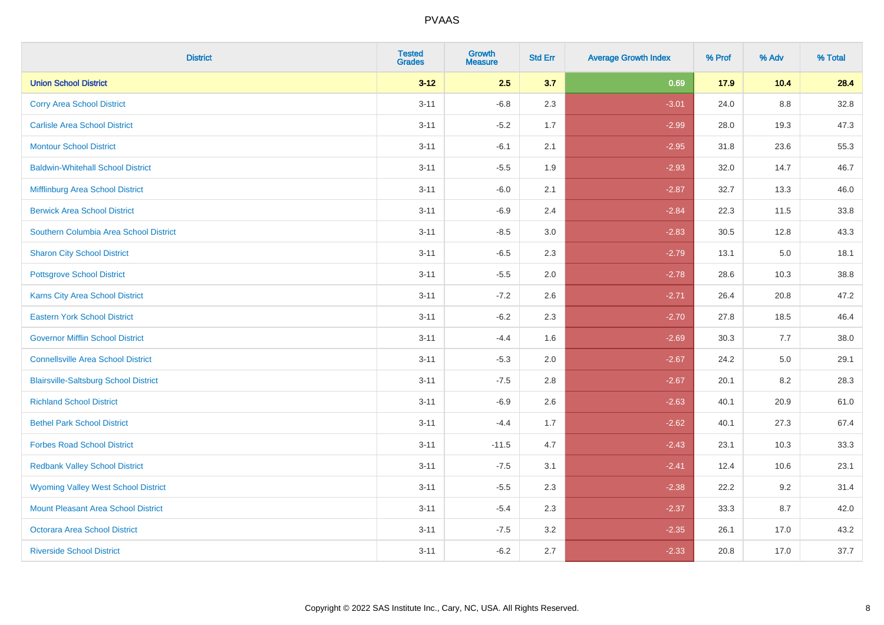| <b>District</b>                              | <b>Tested</b><br><b>Grades</b> | Growth<br><b>Measure</b> | <b>Std Err</b> | <b>Average Growth Index</b> | % Prof | % Adv   | % Total |
|----------------------------------------------|--------------------------------|--------------------------|----------------|-----------------------------|--------|---------|---------|
| <b>Union School District</b>                 | $3 - 12$                       | 2.5                      | 3.7            | 0.69                        | 17.9   | 10.4    | 28.4    |
| <b>Corry Area School District</b>            | $3 - 11$                       | $-6.8$                   | 2.3            | $-3.01$                     | 24.0   | 8.8     | 32.8    |
| <b>Carlisle Area School District</b>         | $3 - 11$                       | $-5.2$                   | 1.7            | $-2.99$                     | 28.0   | 19.3    | 47.3    |
| <b>Montour School District</b>               | $3 - 11$                       | $-6.1$                   | 2.1            | $-2.95$                     | 31.8   | 23.6    | 55.3    |
| <b>Baldwin-Whitehall School District</b>     | $3 - 11$                       | $-5.5$                   | 1.9            | $-2.93$                     | 32.0   | 14.7    | 46.7    |
| Mifflinburg Area School District             | $3 - 11$                       | $-6.0$                   | 2.1            | $-2.87$                     | 32.7   | 13.3    | 46.0    |
| <b>Berwick Area School District</b>          | $3 - 11$                       | $-6.9$                   | 2.4            | $-2.84$                     | 22.3   | 11.5    | 33.8    |
| Southern Columbia Area School District       | $3 - 11$                       | $-8.5$                   | 3.0            | $-2.83$                     | 30.5   | 12.8    | 43.3    |
| <b>Sharon City School District</b>           | $3 - 11$                       | $-6.5$                   | 2.3            | $-2.79$                     | 13.1   | 5.0     | 18.1    |
| <b>Pottsgrove School District</b>            | $3 - 11$                       | $-5.5$                   | 2.0            | $-2.78$                     | 28.6   | 10.3    | 38.8    |
| <b>Karns City Area School District</b>       | $3 - 11$                       | $-7.2$                   | 2.6            | $-2.71$                     | 26.4   | 20.8    | 47.2    |
| <b>Eastern York School District</b>          | $3 - 11$                       | $-6.2$                   | 2.3            | $-2.70$                     | 27.8   | 18.5    | 46.4    |
| <b>Governor Mifflin School District</b>      | $3 - 11$                       | $-4.4$                   | 1.6            | $-2.69$                     | 30.3   | 7.7     | 38.0    |
| <b>Connellsville Area School District</b>    | $3 - 11$                       | $-5.3$                   | 2.0            | $-2.67$                     | 24.2   | $5.0\,$ | 29.1    |
| <b>Blairsville-Saltsburg School District</b> | $3 - 11$                       | $-7.5$                   | 2.8            | $-2.67$                     | 20.1   | 8.2     | 28.3    |
| <b>Richland School District</b>              | $3 - 11$                       | $-6.9$                   | 2.6            | $-2.63$                     | 40.1   | 20.9    | 61.0    |
| <b>Bethel Park School District</b>           | $3 - 11$                       | $-4.4$                   | 1.7            | $-2.62$                     | 40.1   | 27.3    | 67.4    |
| <b>Forbes Road School District</b>           | $3 - 11$                       | $-11.5$                  | 4.7            | $-2.43$                     | 23.1   | 10.3    | 33.3    |
| <b>Redbank Valley School District</b>        | $3 - 11$                       | $-7.5$                   | 3.1            | $-2.41$                     | 12.4   | 10.6    | 23.1    |
| <b>Wyoming Valley West School District</b>   | $3 - 11$                       | $-5.5$                   | 2.3            | $-2.38$                     | 22.2   | 9.2     | 31.4    |
| Mount Pleasant Area School District          | $3 - 11$                       | $-5.4$                   | 2.3            | $-2.37$                     | 33.3   | 8.7     | 42.0    |
| <b>Octorara Area School District</b>         | $3 - 11$                       | $-7.5$                   | 3.2            | $-2.35$                     | 26.1   | 17.0    | 43.2    |
| <b>Riverside School District</b>             | $3 - 11$                       | $-6.2$                   | 2.7            | $-2.33$                     | 20.8   | 17.0    | 37.7    |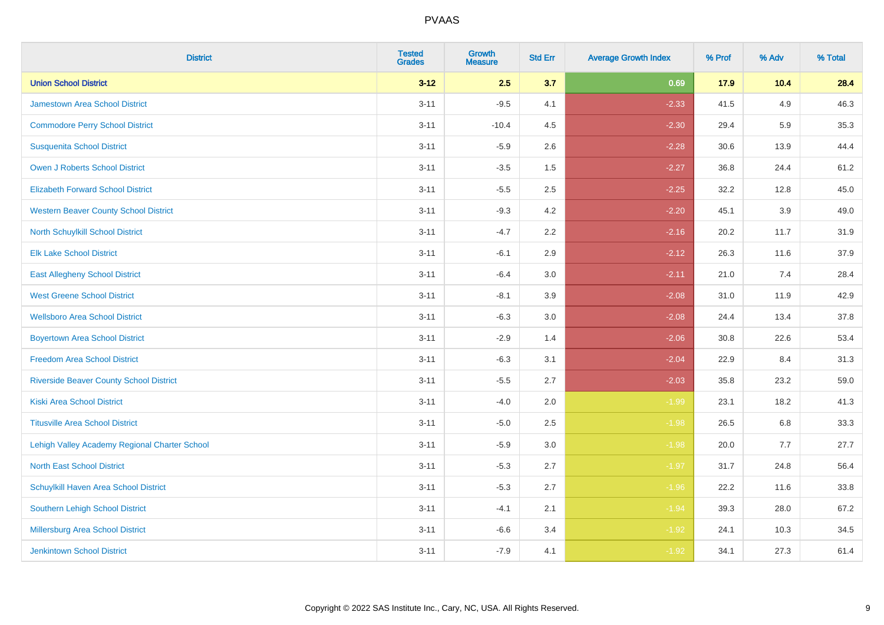| <b>District</b>                                | <b>Tested</b><br><b>Grades</b> | <b>Growth</b><br><b>Measure</b> | <b>Std Err</b> | <b>Average Growth Index</b> | % Prof | % Adv | % Total |
|------------------------------------------------|--------------------------------|---------------------------------|----------------|-----------------------------|--------|-------|---------|
| <b>Union School District</b>                   | $3 - 12$                       | 2.5                             | 3.7            | 0.69                        | 17.9   | 10.4  | 28.4    |
| <b>Jamestown Area School District</b>          | $3 - 11$                       | $-9.5$                          | 4.1            | $-2.33$                     | 41.5   | 4.9   | 46.3    |
| <b>Commodore Perry School District</b>         | $3 - 11$                       | $-10.4$                         | 4.5            | $-2.30$                     | 29.4   | 5.9   | 35.3    |
| <b>Susquenita School District</b>              | $3 - 11$                       | $-5.9$                          | 2.6            | $-2.28$                     | 30.6   | 13.9  | 44.4    |
| <b>Owen J Roberts School District</b>          | $3 - 11$                       | $-3.5$                          | 1.5            | $-2.27$                     | 36.8   | 24.4  | 61.2    |
| <b>Elizabeth Forward School District</b>       | $3 - 11$                       | $-5.5$                          | 2.5            | $-2.25$                     | 32.2   | 12.8  | 45.0    |
| <b>Western Beaver County School District</b>   | $3 - 11$                       | $-9.3$                          | 4.2            | $-2.20$                     | 45.1   | 3.9   | 49.0    |
| <b>North Schuylkill School District</b>        | $3 - 11$                       | $-4.7$                          | 2.2            | $-2.16$                     | 20.2   | 11.7  | 31.9    |
| <b>Elk Lake School District</b>                | $3 - 11$                       | $-6.1$                          | 2.9            | $-2.12$                     | 26.3   | 11.6  | 37.9    |
| <b>East Allegheny School District</b>          | $3 - 11$                       | $-6.4$                          | 3.0            | $-2.11$                     | 21.0   | 7.4   | 28.4    |
| <b>West Greene School District</b>             | $3 - 11$                       | $-8.1$                          | 3.9            | $-2.08$                     | 31.0   | 11.9  | 42.9    |
| <b>Wellsboro Area School District</b>          | $3 - 11$                       | $-6.3$                          | 3.0            | $-2.08$                     | 24.4   | 13.4  | 37.8    |
| <b>Boyertown Area School District</b>          | $3 - 11$                       | $-2.9$                          | 1.4            | $-2.06$                     | 30.8   | 22.6  | 53.4    |
| <b>Freedom Area School District</b>            | $3 - 11$                       | $-6.3$                          | 3.1            | $-2.04$                     | 22.9   | 8.4   | 31.3    |
| <b>Riverside Beaver County School District</b> | $3 - 11$                       | $-5.5$                          | 2.7            | $-2.03$                     | 35.8   | 23.2  | 59.0    |
| <b>Kiski Area School District</b>              | $3 - 11$                       | $-4.0$                          | 2.0            | $-1.99$                     | 23.1   | 18.2  | 41.3    |
| <b>Titusville Area School District</b>         | $3 - 11$                       | $-5.0$                          | 2.5            | $-1.98$                     | 26.5   | 6.8   | 33.3    |
| Lehigh Valley Academy Regional Charter School  | $3 - 11$                       | $-5.9$                          | 3.0            | $-1.98$                     | 20.0   | 7.7   | 27.7    |
| <b>North East School District</b>              | $3 - 11$                       | $-5.3$                          | 2.7            | $-1.97$                     | 31.7   | 24.8  | 56.4    |
| Schuylkill Haven Area School District          | $3 - 11$                       | $-5.3$                          | 2.7            | $-1.96$                     | 22.2   | 11.6  | 33.8    |
| <b>Southern Lehigh School District</b>         | $3 - 11$                       | $-4.1$                          | 2.1            | $-1.94$                     | 39.3   | 28.0  | 67.2    |
| <b>Millersburg Area School District</b>        | $3 - 11$                       | $-6.6$                          | 3.4            | $-1.92$                     | 24.1   | 10.3  | 34.5    |
| <b>Jenkintown School District</b>              | $3 - 11$                       | $-7.9$                          | 4.1            | $-1.92$                     | 34.1   | 27.3  | 61.4    |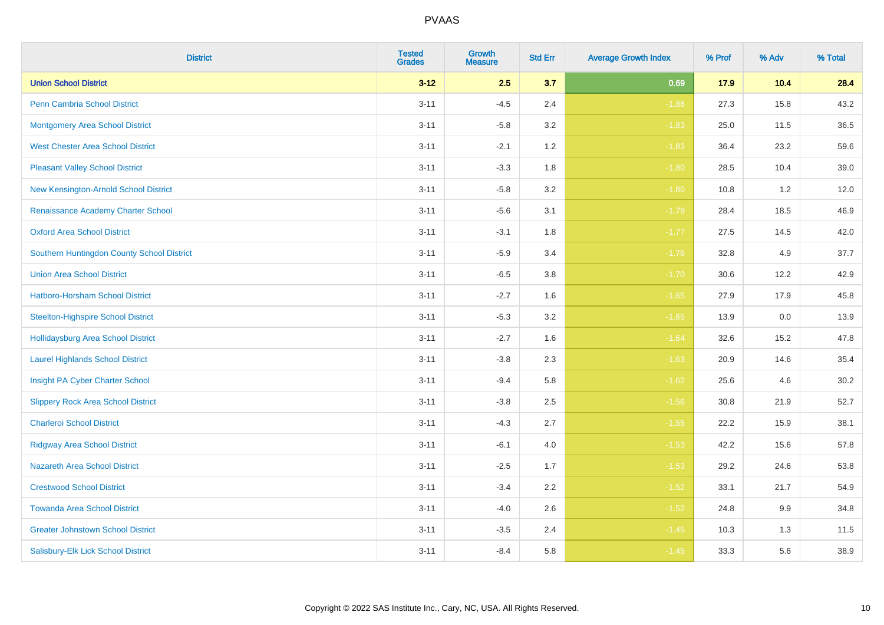| <b>District</b>                            | <b>Tested</b><br><b>Grades</b> | <b>Growth</b><br><b>Measure</b> | <b>Std Err</b> | <b>Average Growth Index</b> | % Prof | % Adv   | % Total |
|--------------------------------------------|--------------------------------|---------------------------------|----------------|-----------------------------|--------|---------|---------|
| <b>Union School District</b>               | $3 - 12$                       | 2.5                             | 3.7            | 0.69                        | 17.9   | 10.4    | 28.4    |
| <b>Penn Cambria School District</b>        | $3 - 11$                       | $-4.5$                          | 2.4            | $-1.86$                     | 27.3   | 15.8    | 43.2    |
| <b>Montgomery Area School District</b>     | $3 - 11$                       | $-5.8$                          | 3.2            | $-1.83$                     | 25.0   | 11.5    | 36.5    |
| <b>West Chester Area School District</b>   | $3 - 11$                       | $-2.1$                          | 1.2            | $-1.83$                     | 36.4   | 23.2    | 59.6    |
| <b>Pleasant Valley School District</b>     | $3 - 11$                       | $-3.3$                          | 1.8            | $-1.80$                     | 28.5   | 10.4    | 39.0    |
| New Kensington-Arnold School District      | $3 - 11$                       | $-5.8$                          | 3.2            | $-1.80$                     | 10.8   | 1.2     | 12.0    |
| Renaissance Academy Charter School         | $3 - 11$                       | $-5.6$                          | 3.1            | $-1.79$                     | 28.4   | 18.5    | 46.9    |
| <b>Oxford Area School District</b>         | $3 - 11$                       | $-3.1$                          | 1.8            | $-1.77$                     | 27.5   | 14.5    | 42.0    |
| Southern Huntingdon County School District | $3 - 11$                       | $-5.9$                          | 3.4            | $-1.76$                     | 32.8   | 4.9     | 37.7    |
| <b>Union Area School District</b>          | $3 - 11$                       | $-6.5$                          | 3.8            | $-1.70$                     | 30.6   | 12.2    | 42.9    |
| Hatboro-Horsham School District            | $3 - 11$                       | $-2.7$                          | 1.6            | $-1.65$                     | 27.9   | 17.9    | 45.8    |
| <b>Steelton-Highspire School District</b>  | $3 - 11$                       | $-5.3$                          | 3.2            | $-1.65$                     | 13.9   | $0.0\,$ | 13.9    |
| Hollidaysburg Area School District         | $3 - 11$                       | $-2.7$                          | 1.6            | $-1.64$                     | 32.6   | 15.2    | 47.8    |
| <b>Laurel Highlands School District</b>    | $3 - 11$                       | $-3.8$                          | 2.3            | $-1.63$                     | 20.9   | 14.6    | 35.4    |
| Insight PA Cyber Charter School            | $3 - 11$                       | $-9.4$                          | 5.8            | $-1.62$                     | 25.6   | 4.6     | 30.2    |
| <b>Slippery Rock Area School District</b>  | $3 - 11$                       | $-3.8$                          | 2.5            | $-1.56$                     | 30.8   | 21.9    | 52.7    |
| <b>Charleroi School District</b>           | $3 - 11$                       | $-4.3$                          | 2.7            | $-1.55$                     | 22.2   | 15.9    | 38.1    |
| <b>Ridgway Area School District</b>        | $3 - 11$                       | $-6.1$                          | 4.0            | $-1.53$                     | 42.2   | 15.6    | 57.8    |
| <b>Nazareth Area School District</b>       | $3 - 11$                       | $-2.5$                          | 1.7            | $-1.53$                     | 29.2   | 24.6    | 53.8    |
| <b>Crestwood School District</b>           | $3 - 11$                       | $-3.4$                          | 2.2            | $-1.52$                     | 33.1   | 21.7    | 54.9    |
| <b>Towanda Area School District</b>        | $3 - 11$                       | $-4.0$                          | 2.6            | $-1.52$                     | 24.8   | 9.9     | 34.8    |
| <b>Greater Johnstown School District</b>   | $3 - 11$                       | $-3.5$                          | 2.4            | $-1.45$                     | 10.3   | 1.3     | 11.5    |
| Salisbury-Elk Lick School District         | $3 - 11$                       | $-8.4$                          | 5.8            | $-1.45$                     | 33.3   | 5.6     | 38.9    |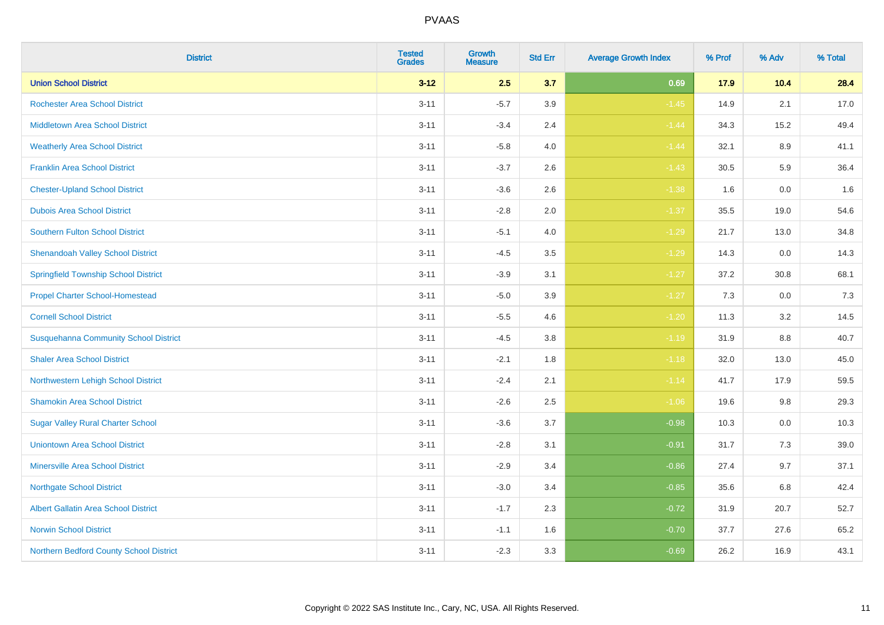| <b>District</b>                              | <b>Tested</b><br><b>Grades</b> | Growth<br><b>Measure</b> | <b>Std Err</b> | <b>Average Growth Index</b> | % Prof | % Adv    | % Total |
|----------------------------------------------|--------------------------------|--------------------------|----------------|-----------------------------|--------|----------|---------|
| <b>Union School District</b>                 | $3 - 12$                       | 2.5                      | 3.7            | 0.69                        | 17.9   | 10.4     | 28.4    |
| <b>Rochester Area School District</b>        | $3 - 11$                       | $-5.7$                   | 3.9            | $-1.45$                     | 14.9   | 2.1      | 17.0    |
| <b>Middletown Area School District</b>       | $3 - 11$                       | $-3.4$                   | 2.4            | $-1.44$                     | 34.3   | 15.2     | 49.4    |
| <b>Weatherly Area School District</b>        | $3 - 11$                       | $-5.8$                   | 4.0            | $-1.44$                     | 32.1   | 8.9      | 41.1    |
| <b>Franklin Area School District</b>         | $3 - 11$                       | $-3.7$                   | 2.6            | $-1.43$                     | 30.5   | 5.9      | 36.4    |
| <b>Chester-Upland School District</b>        | $3 - 11$                       | $-3.6$                   | 2.6            | $-1.38$                     | 1.6    | 0.0      | 1.6     |
| <b>Dubois Area School District</b>           | $3 - 11$                       | $-2.8$                   | 2.0            | $-1.37$                     | 35.5   | 19.0     | 54.6    |
| <b>Southern Fulton School District</b>       | $3 - 11$                       | $-5.1$                   | 4.0            | $-1.29$                     | 21.7   | 13.0     | 34.8    |
| <b>Shenandoah Valley School District</b>     | $3 - 11$                       | $-4.5$                   | 3.5            | $-1.29$                     | 14.3   | 0.0      | 14.3    |
| <b>Springfield Township School District</b>  | $3 - 11$                       | $-3.9$                   | 3.1            | $-1.27$                     | 37.2   | $30.8\,$ | 68.1    |
| <b>Propel Charter School-Homestead</b>       | $3 - 11$                       | $-5.0$                   | 3.9            | $-1.27$                     | 7.3    | 0.0      | 7.3     |
| <b>Cornell School District</b>               | $3 - 11$                       | $-5.5$                   | 4.6            | $-1.20$                     | 11.3   | 3.2      | 14.5    |
| <b>Susquehanna Community School District</b> | $3 - 11$                       | $-4.5$                   | $3.8\,$        | $-1.19$                     | 31.9   | $8.8\,$  | 40.7    |
| <b>Shaler Area School District</b>           | $3 - 11$                       | $-2.1$                   | 1.8            | $-1.18$                     | 32.0   | 13.0     | 45.0    |
| Northwestern Lehigh School District          | $3 - 11$                       | $-2.4$                   | 2.1            | $-1.14$                     | 41.7   | 17.9     | 59.5    |
| <b>Shamokin Area School District</b>         | $3 - 11$                       | $-2.6$                   | 2.5            | $-1.06$                     | 19.6   | 9.8      | 29.3    |
| <b>Sugar Valley Rural Charter School</b>     | $3 - 11$                       | $-3.6$                   | 3.7            | $-0.98$                     | 10.3   | 0.0      | 10.3    |
| <b>Uniontown Area School District</b>        | $3 - 11$                       | $-2.8$                   | 3.1            | $-0.91$                     | 31.7   | 7.3      | 39.0    |
| <b>Minersville Area School District</b>      | $3 - 11$                       | $-2.9$                   | 3.4            | $-0.86$                     | 27.4   | 9.7      | 37.1    |
| <b>Northgate School District</b>             | $3 - 11$                       | $-3.0$                   | 3.4            | $-0.85$                     | 35.6   | 6.8      | 42.4    |
| <b>Albert Gallatin Area School District</b>  | $3 - 11$                       | $-1.7$                   | 2.3            | $-0.72$                     | 31.9   | 20.7     | 52.7    |
| <b>Norwin School District</b>                | $3 - 11$                       | $-1.1$                   | 1.6            | $-0.70$                     | 37.7   | 27.6     | 65.2    |
| Northern Bedford County School District      | $3 - 11$                       | $-2.3$                   | 3.3            | $-0.69$                     | 26.2   | 16.9     | 43.1    |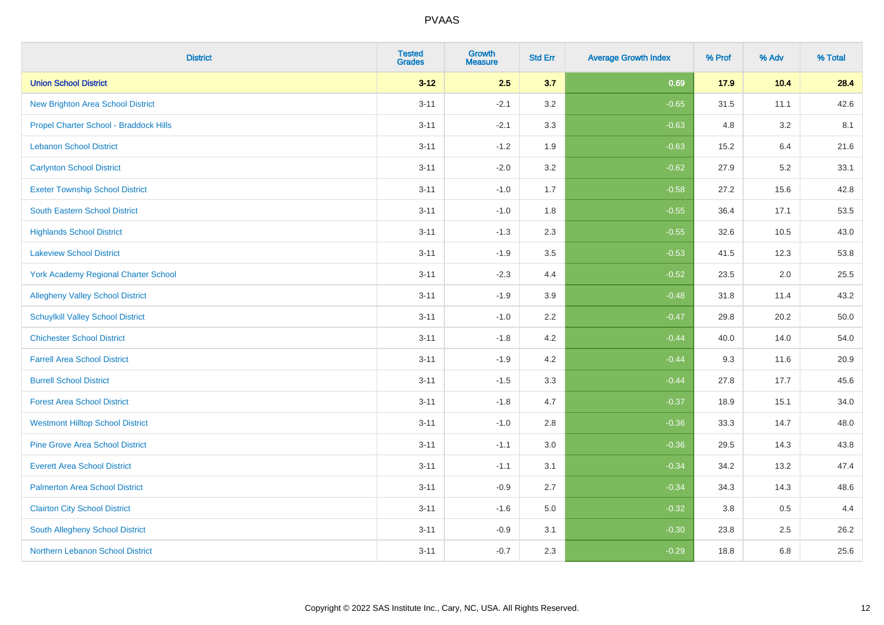| <b>District</b>                             | <b>Tested</b><br><b>Grades</b> | Growth<br><b>Measure</b> | <b>Std Err</b> | <b>Average Growth Index</b> | % Prof | % Adv | % Total |
|---------------------------------------------|--------------------------------|--------------------------|----------------|-----------------------------|--------|-------|---------|
| <b>Union School District</b>                | $3 - 12$                       | 2.5                      | 3.7            | 0.69                        | 17.9   | 10.4  | 28.4    |
| <b>New Brighton Area School District</b>    | $3 - 11$                       | $-2.1$                   | 3.2            | $-0.65$                     | 31.5   | 11.1  | 42.6    |
| Propel Charter School - Braddock Hills      | $3 - 11$                       | $-2.1$                   | 3.3            | $-0.63$                     | 4.8    | 3.2   | 8.1     |
| <b>Lebanon School District</b>              | $3 - 11$                       | $-1.2$                   | 1.9            | $-0.63$                     | 15.2   | 6.4   | 21.6    |
| <b>Carlynton School District</b>            | $3 - 11$                       | $-2.0$                   | 3.2            | $-0.62$                     | 27.9   | 5.2   | 33.1    |
| <b>Exeter Township School District</b>      | $3 - 11$                       | $-1.0$                   | 1.7            | $-0.58$                     | 27.2   | 15.6  | 42.8    |
| <b>South Eastern School District</b>        | $3 - 11$                       | $-1.0$                   | 1.8            | $-0.55$                     | 36.4   | 17.1  | 53.5    |
| <b>Highlands School District</b>            | $3 - 11$                       | $-1.3$                   | 2.3            | $-0.55$                     | 32.6   | 10.5  | 43.0    |
| <b>Lakeview School District</b>             | $3 - 11$                       | $-1.9$                   | 3.5            | $-0.53$                     | 41.5   | 12.3  | 53.8    |
| <b>York Academy Regional Charter School</b> | $3 - 11$                       | $-2.3$                   | 4.4            | $-0.52$                     | 23.5   | 2.0   | 25.5    |
| <b>Allegheny Valley School District</b>     | $3 - 11$                       | $-1.9$                   | 3.9            | $-0.48$                     | 31.8   | 11.4  | 43.2    |
| <b>Schuylkill Valley School District</b>    | $3 - 11$                       | $-1.0$                   | 2.2            | $-0.47$                     | 29.8   | 20.2  | 50.0    |
| <b>Chichester School District</b>           | $3 - 11$                       | $-1.8$                   | $4.2\,$        | $-0.44$                     | 40.0   | 14.0  | 54.0    |
| <b>Farrell Area School District</b>         | $3 - 11$                       | $-1.9$                   | 4.2            | $-0.44$                     | 9.3    | 11.6  | 20.9    |
| <b>Burrell School District</b>              | $3 - 11$                       | $-1.5$                   | 3.3            | $-0.44$                     | 27.8   | 17.7  | 45.6    |
| <b>Forest Area School District</b>          | $3 - 11$                       | $-1.8$                   | 4.7            | $-0.37$                     | 18.9   | 15.1  | 34.0    |
| <b>Westmont Hilltop School District</b>     | $3 - 11$                       | $-1.0$                   | 2.8            | $-0.36$                     | 33.3   | 14.7  | 48.0    |
| <b>Pine Grove Area School District</b>      | $3 - 11$                       | $-1.1$                   | 3.0            | $-0.36$                     | 29.5   | 14.3  | 43.8    |
| <b>Everett Area School District</b>         | $3 - 11$                       | $-1.1$                   | 3.1            | $-0.34$                     | 34.2   | 13.2  | 47.4    |
| <b>Palmerton Area School District</b>       | $3 - 11$                       | $-0.9$                   | 2.7            | $-0.34$                     | 34.3   | 14.3  | 48.6    |
| <b>Clairton City School District</b>        | $3 - 11$                       | $-1.6$                   | 5.0            | $-0.32$                     | 3.8    | 0.5   | 4.4     |
| South Allegheny School District             | $3 - 11$                       | $-0.9$                   | 3.1            | $-0.30$                     | 23.8   | 2.5   | 26.2    |
| Northern Lebanon School District            | $3 - 11$                       | $-0.7$                   | 2.3            | $-0.29$                     | 18.8   | 6.8   | 25.6    |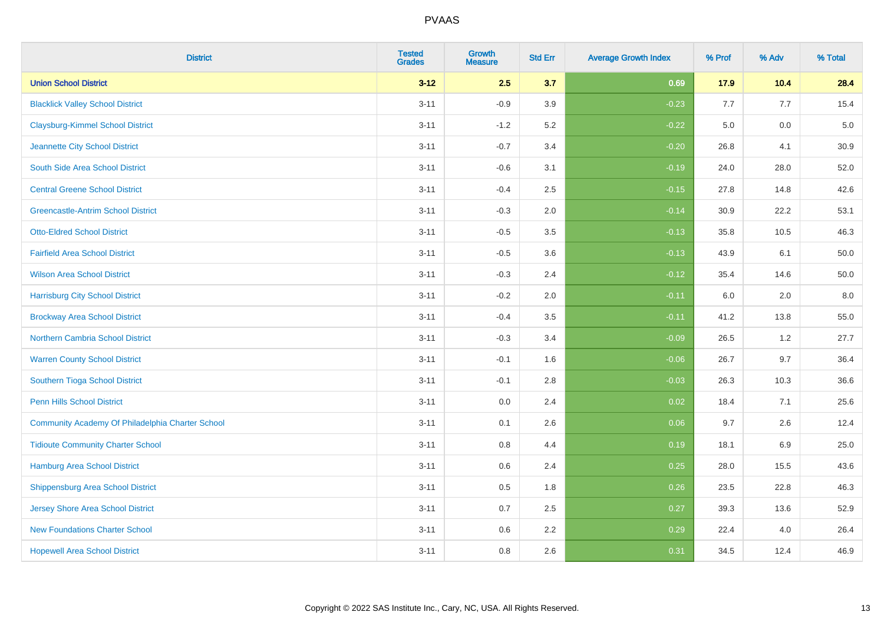| <b>District</b>                                  | <b>Tested</b><br><b>Grades</b> | Growth<br><b>Measure</b> | <b>Std Err</b> | <b>Average Growth Index</b> | % Prof | % Adv   | % Total |
|--------------------------------------------------|--------------------------------|--------------------------|----------------|-----------------------------|--------|---------|---------|
| <b>Union School District</b>                     | $3 - 12$                       | 2.5                      | 3.7            | 0.69                        | 17.9   | 10.4    | 28.4    |
| <b>Blacklick Valley School District</b>          | $3 - 11$                       | $-0.9$                   | 3.9            | $-0.23$                     | 7.7    | 7.7     | 15.4    |
| <b>Claysburg-Kimmel School District</b>          | $3 - 11$                       | $-1.2$                   | 5.2            | $-0.22$                     | 5.0    | 0.0     | $5.0$   |
| Jeannette City School District                   | $3 - 11$                       | $-0.7$                   | 3.4            | $-0.20$                     | 26.8   | 4.1     | 30.9    |
| South Side Area School District                  | $3 - 11$                       | $-0.6$                   | 3.1            | $-0.19$                     | 24.0   | 28.0    | 52.0    |
| <b>Central Greene School District</b>            | $3 - 11$                       | $-0.4$                   | 2.5            | $-0.15$                     | 27.8   | 14.8    | 42.6    |
| <b>Greencastle-Antrim School District</b>        | $3 - 11$                       | $-0.3$                   | 2.0            | $-0.14$                     | 30.9   | 22.2    | 53.1    |
| <b>Otto-Eldred School District</b>               | $3 - 11$                       | $-0.5$                   | 3.5            | $-0.13$                     | 35.8   | 10.5    | 46.3    |
| <b>Fairfield Area School District</b>            | $3 - 11$                       | $-0.5$                   | 3.6            | $-0.13$                     | 43.9   | 6.1     | 50.0    |
| <b>Wilson Area School District</b>               | $3 - 11$                       | $-0.3$                   | 2.4            | $-0.12$                     | 35.4   | 14.6    | 50.0    |
| <b>Harrisburg City School District</b>           | $3 - 11$                       | $-0.2$                   | 2.0            | $-0.11$                     | 6.0    | 2.0     | 8.0     |
| <b>Brockway Area School District</b>             | $3 - 11$                       | $-0.4$                   | 3.5            | $-0.11$                     | 41.2   | 13.8    | 55.0    |
| Northern Cambria School District                 | $3 - 11$                       | $-0.3$                   | 3.4            | $-0.09$                     | 26.5   | $1.2\,$ | 27.7    |
| <b>Warren County School District</b>             | $3 - 11$                       | $-0.1$                   | 1.6            | $-0.06$                     | 26.7   | 9.7     | 36.4    |
| Southern Tioga School District                   | $3 - 11$                       | $-0.1$                   | 2.8            | $-0.03$                     | 26.3   | 10.3    | 36.6    |
| <b>Penn Hills School District</b>                | $3 - 11$                       | 0.0                      | 2.4            | 0.02                        | 18.4   | 7.1     | 25.6    |
| Community Academy Of Philadelphia Charter School | $3 - 11$                       | 0.1                      | 2.6            | 0.06                        | 9.7    | 2.6     | 12.4    |
| <b>Tidioute Community Charter School</b>         | $3 - 11$                       | 0.8                      | 4.4            | 0.19                        | 18.1   | 6.9     | 25.0    |
| Hamburg Area School District                     | $3 - 11$                       | 0.6                      | 2.4            | 0.25                        | 28.0   | 15.5    | 43.6    |
| <b>Shippensburg Area School District</b>         | $3 - 11$                       | 0.5                      | 1.8            | 0.26                        | 23.5   | 22.8    | 46.3    |
| Jersey Shore Area School District                | $3 - 11$                       | 0.7                      | 2.5            | 0.27                        | 39.3   | 13.6    | 52.9    |
| <b>New Foundations Charter School</b>            | $3 - 11$                       | 0.6                      | 2.2            | 0.29                        | 22.4   | 4.0     | 26.4    |
| <b>Hopewell Area School District</b>             | $3 - 11$                       | 0.8                      | 2.6            | 0.31                        | 34.5   | 12.4    | 46.9    |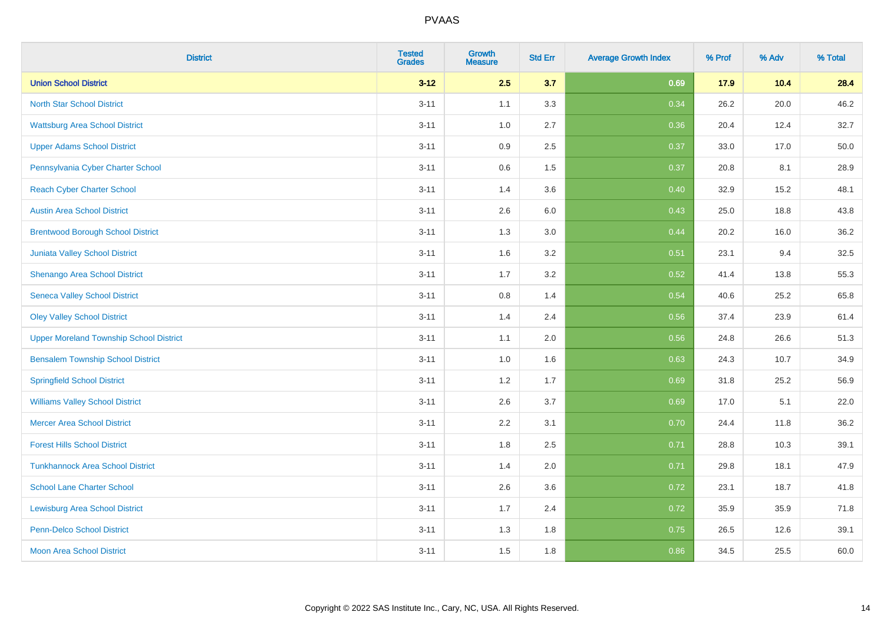| <b>District</b>                                | <b>Tested</b><br><b>Grades</b> | <b>Growth</b><br><b>Measure</b> | <b>Std Err</b> | <b>Average Growth Index</b> | % Prof | % Adv | % Total |
|------------------------------------------------|--------------------------------|---------------------------------|----------------|-----------------------------|--------|-------|---------|
| <b>Union School District</b>                   | $3 - 12$                       | 2.5                             | 3.7            | 0.69                        | 17.9   | 10.4  | 28.4    |
| <b>North Star School District</b>              | $3 - 11$                       | 1.1                             | 3.3            | 0.34                        | 26.2   | 20.0  | 46.2    |
| <b>Wattsburg Area School District</b>          | $3 - 11$                       | 1.0                             | 2.7            | 0.36                        | 20.4   | 12.4  | 32.7    |
| <b>Upper Adams School District</b>             | $3 - 11$                       | 0.9                             | 2.5            | 0.37                        | 33.0   | 17.0  | 50.0    |
| Pennsylvania Cyber Charter School              | $3 - 11$                       | 0.6                             | 1.5            | 0.37                        | 20.8   | 8.1   | 28.9    |
| <b>Reach Cyber Charter School</b>              | $3 - 11$                       | 1.4                             | 3.6            | 0.40                        | 32.9   | 15.2  | 48.1    |
| <b>Austin Area School District</b>             | $3 - 11$                       | 2.6                             | 6.0            | 0.43                        | 25.0   | 18.8  | 43.8    |
| <b>Brentwood Borough School District</b>       | $3 - 11$                       | 1.3                             | 3.0            | 0.44                        | 20.2   | 16.0  | 36.2    |
| Juniata Valley School District                 | $3 - 11$                       | 1.6                             | 3.2            | 0.51                        | 23.1   | 9.4   | 32.5    |
| Shenango Area School District                  | $3 - 11$                       | 1.7                             | 3.2            | 0.52                        | 41.4   | 13.8  | 55.3    |
| <b>Seneca Valley School District</b>           | $3 - 11$                       | 0.8                             | 1.4            | 0.54                        | 40.6   | 25.2  | 65.8    |
| <b>Oley Valley School District</b>             | $3 - 11$                       | 1.4                             | 2.4            | 0.56                        | 37.4   | 23.9  | 61.4    |
| <b>Upper Moreland Township School District</b> | $3 - 11$                       | 1.1                             | 2.0            | 0.56                        | 24.8   | 26.6  | 51.3    |
| <b>Bensalem Township School District</b>       | $3 - 11$                       | 1.0                             | 1.6            | 0.63                        | 24.3   | 10.7  | 34.9    |
| <b>Springfield School District</b>             | $3 - 11$                       | 1.2                             | 1.7            | 0.69                        | 31.8   | 25.2  | 56.9    |
| <b>Williams Valley School District</b>         | $3 - 11$                       | 2.6                             | 3.7            | 0.69                        | 17.0   | 5.1   | 22.0    |
| <b>Mercer Area School District</b>             | $3 - 11$                       | $2.2\,$                         | 3.1            | 0.70                        | 24.4   | 11.8  | 36.2    |
| <b>Forest Hills School District</b>            | $3 - 11$                       | 1.8                             | 2.5            | 0.71                        | 28.8   | 10.3  | 39.1    |
| <b>Tunkhannock Area School District</b>        | $3 - 11$                       | 1.4                             | 2.0            | 0.71                        | 29.8   | 18.1  | 47.9    |
| <b>School Lane Charter School</b>              | $3 - 11$                       | 2.6                             | 3.6            | 0.72                        | 23.1   | 18.7  | 41.8    |
| <b>Lewisburg Area School District</b>          | $3 - 11$                       | 1.7                             | 2.4            | 0.72                        | 35.9   | 35.9  | 71.8    |
| <b>Penn-Delco School District</b>              | $3 - 11$                       | 1.3                             | 1.8            | 0.75                        | 26.5   | 12.6  | 39.1    |
| <b>Moon Area School District</b>               | $3 - 11$                       | 1.5                             | 1.8            | 0.86                        | 34.5   | 25.5  | 60.0    |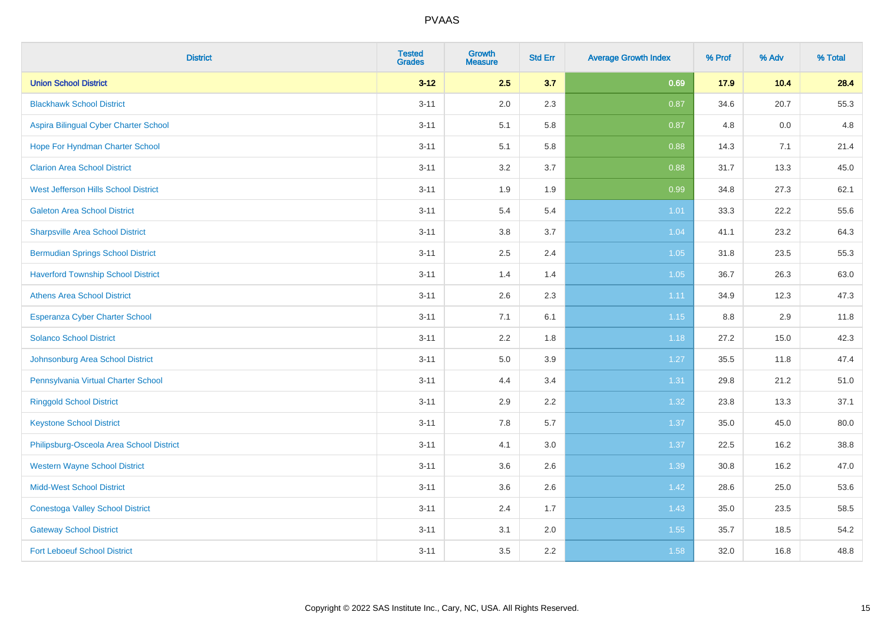| <b>District</b>                           | <b>Tested</b><br><b>Grades</b> | <b>Growth</b><br><b>Measure</b> | <b>Std Err</b> | <b>Average Growth Index</b> | % Prof | % Adv | % Total |
|-------------------------------------------|--------------------------------|---------------------------------|----------------|-----------------------------|--------|-------|---------|
| <b>Union School District</b>              | $3 - 12$                       | 2.5                             | 3.7            | 0.69                        | 17.9   | 10.4  | 28.4    |
| <b>Blackhawk School District</b>          | $3 - 11$                       | 2.0                             | 2.3            | 0.87                        | 34.6   | 20.7  | 55.3    |
| Aspira Bilingual Cyber Charter School     | $3 - 11$                       | 5.1                             | 5.8            | 0.87                        | 4.8    | 0.0   | 4.8     |
| Hope For Hyndman Charter School           | $3 - 11$                       | 5.1                             | 5.8            | 0.88                        | 14.3   | 7.1   | 21.4    |
| <b>Clarion Area School District</b>       | $3 - 11$                       | 3.2                             | 3.7            | 0.88                        | 31.7   | 13.3  | 45.0    |
| West Jefferson Hills School District      | $3 - 11$                       | 1.9                             | 1.9            | 0.99                        | 34.8   | 27.3  | 62.1    |
| <b>Galeton Area School District</b>       | $3 - 11$                       | 5.4                             | 5.4            | $1.01$                      | 33.3   | 22.2  | 55.6    |
| <b>Sharpsville Area School District</b>   | $3 - 11$                       | 3.8                             | 3.7            | 1.04                        | 41.1   | 23.2  | 64.3    |
| <b>Bermudian Springs School District</b>  | $3 - 11$                       | 2.5                             | 2.4            | 1.05                        | 31.8   | 23.5  | 55.3    |
| <b>Haverford Township School District</b> | $3 - 11$                       | 1.4                             | 1.4            | 1.05                        | 36.7   | 26.3  | 63.0    |
| <b>Athens Area School District</b>        | $3 - 11$                       | 2.6                             | 2.3            | 1.11                        | 34.9   | 12.3  | 47.3    |
| Esperanza Cyber Charter School            | $3 - 11$                       | 7.1                             | 6.1            | 1.15                        | 8.8    | 2.9   | 11.8    |
| <b>Solanco School District</b>            | $3 - 11$                       | 2.2                             | 1.8            | 1.18                        | 27.2   | 15.0  | 42.3    |
| Johnsonburg Area School District          | $3 - 11$                       | 5.0                             | 3.9            | 1.27                        | 35.5   | 11.8  | 47.4    |
| Pennsylvania Virtual Charter School       | $3 - 11$                       | 4.4                             | 3.4            | 1.31                        | 29.8   | 21.2  | 51.0    |
| <b>Ringgold School District</b>           | $3 - 11$                       | 2.9                             | 2.2            | 1.32                        | 23.8   | 13.3  | 37.1    |
| <b>Keystone School District</b>           | $3 - 11$                       | 7.8                             | 5.7            | 1.37                        | 35.0   | 45.0  | 80.0    |
| Philipsburg-Osceola Area School District  | $3 - 11$                       | 4.1                             | 3.0            | 1.37                        | 22.5   | 16.2  | 38.8    |
| <b>Western Wayne School District</b>      | $3 - 11$                       | 3.6                             | 2.6            | 1.39                        | 30.8   | 16.2  | 47.0    |
| <b>Midd-West School District</b>          | $3 - 11$                       | 3.6                             | 2.6            | 1.42                        | 28.6   | 25.0  | 53.6    |
| <b>Conestoga Valley School District</b>   | $3 - 11$                       | 2.4                             | 1.7            | 1.43                        | 35.0   | 23.5  | 58.5    |
| <b>Gateway School District</b>            | $3 - 11$                       | 3.1                             | 2.0            | 1.55                        | 35.7   | 18.5  | 54.2    |
| <b>Fort Leboeuf School District</b>       | $3 - 11$                       | 3.5                             | 2.2            | 1.58                        | 32.0   | 16.8  | 48.8    |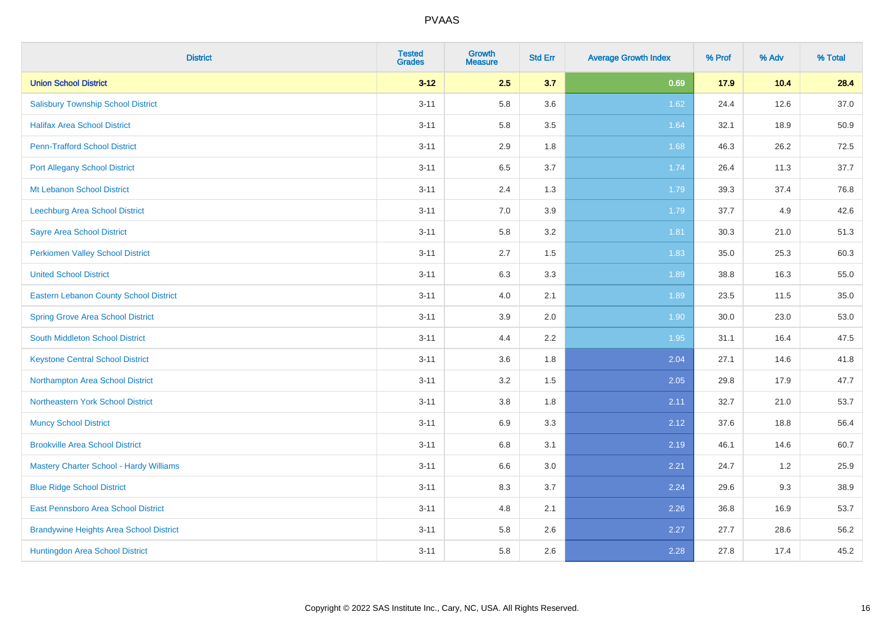| <b>District</b>                                | <b>Tested</b><br><b>Grades</b> | <b>Growth</b><br><b>Measure</b> | <b>Std Err</b> | <b>Average Growth Index</b> | % Prof | % Adv | % Total |
|------------------------------------------------|--------------------------------|---------------------------------|----------------|-----------------------------|--------|-------|---------|
| <b>Union School District</b>                   | $3 - 12$                       | 2.5                             | 3.7            | 0.69                        | 17.9   | 10.4  | 28.4    |
| <b>Salisbury Township School District</b>      | $3 - 11$                       | 5.8                             | 3.6            | 1.62                        | 24.4   | 12.6  | 37.0    |
| <b>Halifax Area School District</b>            | $3 - 11$                       | 5.8                             | 3.5            | 1.64                        | 32.1   | 18.9  | 50.9    |
| <b>Penn-Trafford School District</b>           | $3 - 11$                       | 2.9                             | 1.8            | 1.68                        | 46.3   | 26.2  | 72.5    |
| <b>Port Allegany School District</b>           | $3 - 11$                       | 6.5                             | 3.7            | 1.74                        | 26.4   | 11.3  | 37.7    |
| Mt Lebanon School District                     | $3 - 11$                       | 2.4                             | 1.3            | 1.79                        | 39.3   | 37.4  | 76.8    |
| Leechburg Area School District                 | $3 - 11$                       | 7.0                             | 3.9            | 1.79                        | 37.7   | 4.9   | 42.6    |
| <b>Sayre Area School District</b>              | $3 - 11$                       | 5.8                             | 3.2            | 1.81                        | 30.3   | 21.0  | 51.3    |
| <b>Perkiomen Valley School District</b>        | $3 - 11$                       | 2.7                             | 1.5            | 1.83                        | 35.0   | 25.3  | 60.3    |
| <b>United School District</b>                  | $3 - 11$                       | 6.3                             | 3.3            | 1.89                        | 38.8   | 16.3  | 55.0    |
| <b>Eastern Lebanon County School District</b>  | $3 - 11$                       | 4.0                             | 2.1            | 1.89                        | 23.5   | 11.5  | 35.0    |
| <b>Spring Grove Area School District</b>       | $3 - 11$                       | 3.9                             | 2.0            | 1.90                        | 30.0   | 23.0  | 53.0    |
| South Middleton School District                | $3 - 11$                       | 4.4                             | 2.2            | 1.95                        | 31.1   | 16.4  | 47.5    |
| <b>Keystone Central School District</b>        | $3 - 11$                       | 3.6                             | 1.8            | 2.04                        | 27.1   | 14.6  | 41.8    |
| Northampton Area School District               | $3 - 11$                       | 3.2                             | 1.5            | 2.05                        | 29.8   | 17.9  | 47.7    |
| Northeastern York School District              | $3 - 11$                       | 3.8                             | 1.8            | 2.11                        | 32.7   | 21.0  | 53.7    |
| <b>Muncy School District</b>                   | $3 - 11$                       | 6.9                             | 3.3            | 2.12                        | 37.6   | 18.8  | 56.4    |
| <b>Brookville Area School District</b>         | $3 - 11$                       | 6.8                             | 3.1            | 2.19                        | 46.1   | 14.6  | 60.7    |
| <b>Mastery Charter School - Hardy Williams</b> | $3 - 11$                       | 6.6                             | 3.0            | 2.21                        | 24.7   | 1.2   | 25.9    |
| <b>Blue Ridge School District</b>              | $3 - 11$                       | 8.3                             | 3.7            | 2.24                        | 29.6   | 9.3   | 38.9    |
| East Pennsboro Area School District            | $3 - 11$                       | 4.8                             | 2.1            | 2.26                        | 36.8   | 16.9  | 53.7    |
| <b>Brandywine Heights Area School District</b> | $3 - 11$                       | 5.8                             | 2.6            | 2.27                        | 27.7   | 28.6  | 56.2    |
| Huntingdon Area School District                | $3 - 11$                       | 5.8                             | 2.6            | 2.28                        | 27.8   | 17.4  | 45.2    |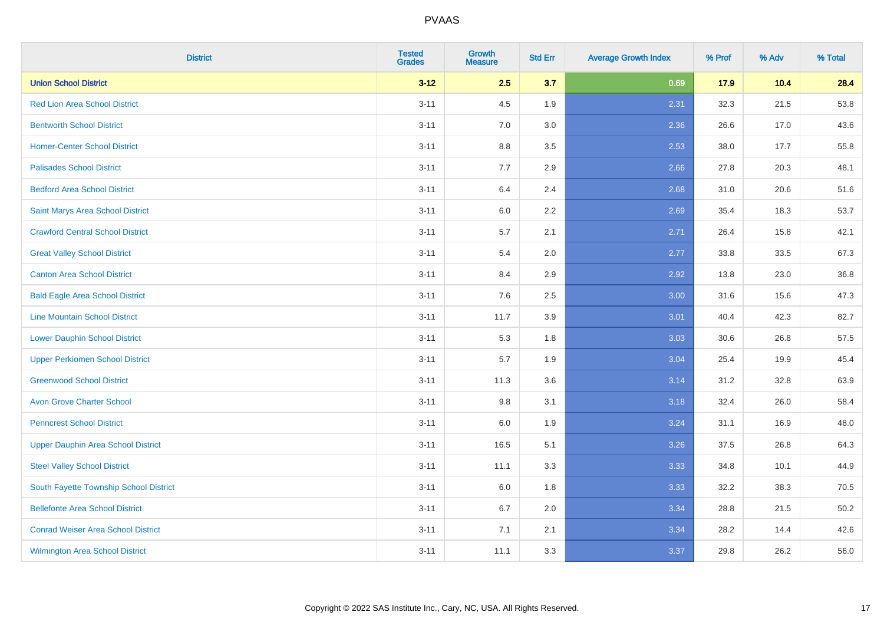| <b>District</b>                           | <b>Tested</b><br><b>Grades</b> | <b>Growth</b><br><b>Measure</b> | <b>Std Err</b> | <b>Average Growth Index</b> | % Prof | % Adv | % Total |
|-------------------------------------------|--------------------------------|---------------------------------|----------------|-----------------------------|--------|-------|---------|
| <b>Union School District</b>              | $3 - 12$                       | 2.5                             | 3.7            | 0.69                        | 17.9   | 10.4  | 28.4    |
| <b>Red Lion Area School District</b>      | $3 - 11$                       | 4.5                             | 1.9            | 2.31                        | 32.3   | 21.5  | 53.8    |
| <b>Bentworth School District</b>          | $3 - 11$                       | 7.0                             | 3.0            | 2.36                        | 26.6   | 17.0  | 43.6    |
| <b>Homer-Center School District</b>       | $3 - 11$                       | $8.8\,$                         | 3.5            | 2.53                        | 38.0   | 17.7  | 55.8    |
| <b>Palisades School District</b>          | $3 - 11$                       | 7.7                             | 2.9            | 2.66                        | 27.8   | 20.3  | 48.1    |
| <b>Bedford Area School District</b>       | $3 - 11$                       | 6.4                             | 2.4            | 2.68                        | 31.0   | 20.6  | 51.6    |
| Saint Marys Area School District          | $3 - 11$                       | $6.0\,$                         | 2.2            | 2.69                        | 35.4   | 18.3  | 53.7    |
| <b>Crawford Central School District</b>   | $3 - 11$                       | 5.7                             | 2.1            | 2.71                        | 26.4   | 15.8  | 42.1    |
| <b>Great Valley School District</b>       | $3 - 11$                       | 5.4                             | 2.0            | 2.77                        | 33.8   | 33.5  | 67.3    |
| <b>Canton Area School District</b>        | $3 - 11$                       | 8.4                             | 2.9            | 2.92                        | 13.8   | 23.0  | 36.8    |
| <b>Bald Eagle Area School District</b>    | $3 - 11$                       | 7.6                             | 2.5            | 3.00                        | 31.6   | 15.6  | 47.3    |
| <b>Line Mountain School District</b>      | $3 - 11$                       | 11.7                            | 3.9            | 3.01                        | 40.4   | 42.3  | 82.7    |
| <b>Lower Dauphin School District</b>      | $3 - 11$                       | 5.3                             | 1.8            | 3.03                        | 30.6   | 26.8  | 57.5    |
| <b>Upper Perkiomen School District</b>    | $3 - 11$                       | 5.7                             | 1.9            | 3.04                        | 25.4   | 19.9  | 45.4    |
| <b>Greenwood School District</b>          | $3 - 11$                       | 11.3                            | 3.6            | 3.14                        | 31.2   | 32.8  | 63.9    |
| <b>Avon Grove Charter School</b>          | $3 - 11$                       | 9.8                             | 3.1            | 3.18                        | 32.4   | 26.0  | 58.4    |
| <b>Penncrest School District</b>          | $3 - 11$                       | 6.0                             | 1.9            | 3.24                        | 31.1   | 16.9  | 48.0    |
| <b>Upper Dauphin Area School District</b> | $3 - 11$                       | 16.5                            | 5.1            | 3.26                        | 37.5   | 26.8  | 64.3    |
| <b>Steel Valley School District</b>       | $3 - 11$                       | 11.1                            | 3.3            | 3.33                        | 34.8   | 10.1  | 44.9    |
| South Fayette Township School District    | $3 - 11$                       | 6.0                             | 1.8            | 3.33                        | 32.2   | 38.3  | 70.5    |
| <b>Bellefonte Area School District</b>    | $3 - 11$                       | 6.7                             | 2.0            | 3.34                        | 28.8   | 21.5  | 50.2    |
| <b>Conrad Weiser Area School District</b> | $3 - 11$                       | 7.1                             | 2.1            | 3.34                        | 28.2   | 14.4  | 42.6    |
| <b>Wilmington Area School District</b>    | $3 - 11$                       | 11.1                            | 3.3            | 3.37                        | 29.8   | 26.2  | 56.0    |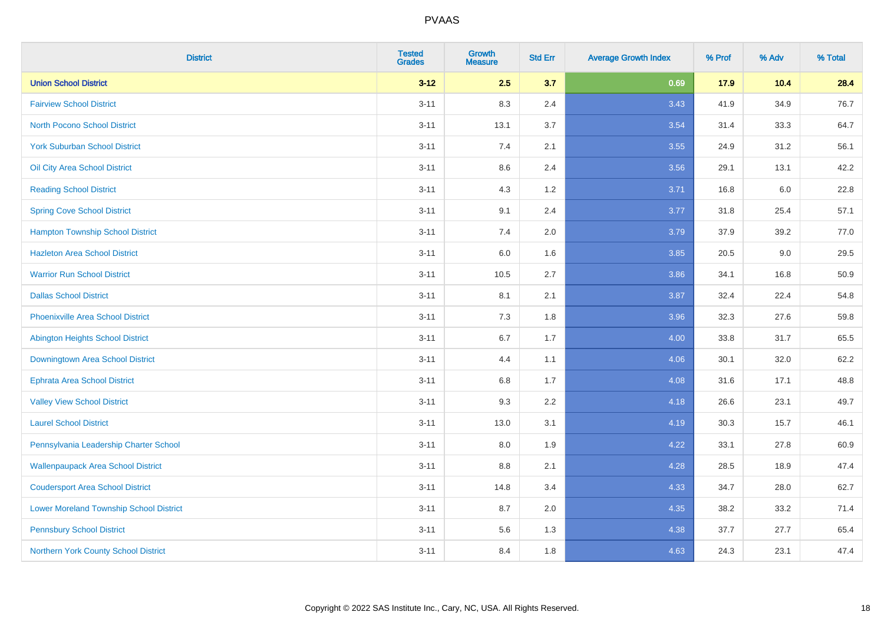| <b>District</b>                                | <b>Tested</b><br><b>Grades</b> | <b>Growth</b><br><b>Measure</b> | <b>Std Err</b> | <b>Average Growth Index</b> | % Prof | % Adv | % Total |
|------------------------------------------------|--------------------------------|---------------------------------|----------------|-----------------------------|--------|-------|---------|
| <b>Union School District</b>                   | $3 - 12$                       | 2.5                             | 3.7            | 0.69                        | 17.9   | 10.4  | 28.4    |
| <b>Fairview School District</b>                | $3 - 11$                       | 8.3                             | 2.4            | 3.43                        | 41.9   | 34.9  | 76.7    |
| <b>North Pocono School District</b>            | $3 - 11$                       | 13.1                            | 3.7            | 3.54                        | 31.4   | 33.3  | 64.7    |
| <b>York Suburban School District</b>           | $3 - 11$                       | 7.4                             | 2.1            | 3.55                        | 24.9   | 31.2  | 56.1    |
| Oil City Area School District                  | $3 - 11$                       | 8.6                             | 2.4            | 3.56                        | 29.1   | 13.1  | 42.2    |
| <b>Reading School District</b>                 | $3 - 11$                       | 4.3                             | 1.2            | 3.71                        | 16.8   | 6.0   | 22.8    |
| <b>Spring Cove School District</b>             | $3 - 11$                       | 9.1                             | 2.4            | 3.77                        | 31.8   | 25.4  | 57.1    |
| <b>Hampton Township School District</b>        | $3 - 11$                       | 7.4                             | 2.0            | 3.79                        | 37.9   | 39.2  | 77.0    |
| <b>Hazleton Area School District</b>           | $3 - 11$                       | 6.0                             | 1.6            | 3.85                        | 20.5   | 9.0   | 29.5    |
| <b>Warrior Run School District</b>             | $3 - 11$                       | 10.5                            | 2.7            | 3.86                        | 34.1   | 16.8  | 50.9    |
| <b>Dallas School District</b>                  | $3 - 11$                       | 8.1                             | 2.1            | 3.87                        | 32.4   | 22.4  | 54.8    |
| <b>Phoenixville Area School District</b>       | $3 - 11$                       | 7.3                             | 1.8            | 3.96                        | 32.3   | 27.6  | 59.8    |
| Abington Heights School District               | $3 - 11$                       | $6.7\,$                         | 1.7            | 4.00                        | 33.8   | 31.7  | 65.5    |
| Downingtown Area School District               | $3 - 11$                       | 4.4                             | 1.1            | 4.06                        | 30.1   | 32.0  | 62.2    |
| <b>Ephrata Area School District</b>            | $3 - 11$                       | 6.8                             | 1.7            | 4.08                        | 31.6   | 17.1  | 48.8    |
| <b>Valley View School District</b>             | $3 - 11$                       | 9.3                             | 2.2            | 4.18                        | 26.6   | 23.1  | 49.7    |
| <b>Laurel School District</b>                  | $3 - 11$                       | 13.0                            | 3.1            | 4.19                        | 30.3   | 15.7  | 46.1    |
| Pennsylvania Leadership Charter School         | $3 - 11$                       | 8.0                             | 1.9            | 4.22                        | 33.1   | 27.8  | 60.9    |
| <b>Wallenpaupack Area School District</b>      | $3 - 11$                       | $8.8\,$                         | 2.1            | 4.28                        | 28.5   | 18.9  | 47.4    |
| <b>Coudersport Area School District</b>        | $3 - 11$                       | 14.8                            | 3.4            | 4.33                        | 34.7   | 28.0  | 62.7    |
| <b>Lower Moreland Township School District</b> | $3 - 11$                       | 8.7                             | 2.0            | 4.35                        | 38.2   | 33.2  | 71.4    |
| <b>Pennsbury School District</b>               | $3 - 11$                       | 5.6                             | 1.3            | 4.38                        | 37.7   | 27.7  | 65.4    |
| Northern York County School District           | $3 - 11$                       | 8.4                             | 1.8            | 4.63                        | 24.3   | 23.1  | 47.4    |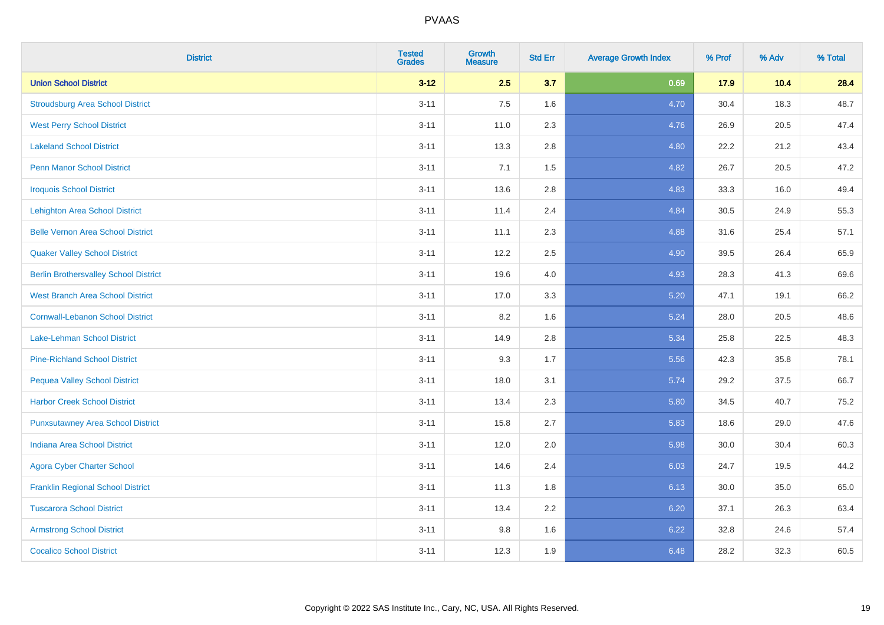| <b>District</b>                              | <b>Tested</b><br><b>Grades</b> | <b>Growth</b><br><b>Measure</b> | <b>Std Err</b> | <b>Average Growth Index</b> | % Prof | % Adv | % Total |
|----------------------------------------------|--------------------------------|---------------------------------|----------------|-----------------------------|--------|-------|---------|
| <b>Union School District</b>                 | $3 - 12$                       | 2.5                             | 3.7            | 0.69                        | 17.9   | 10.4  | 28.4    |
| <b>Stroudsburg Area School District</b>      | $3 - 11$                       | 7.5                             | 1.6            | 4.70                        | 30.4   | 18.3  | 48.7    |
| <b>West Perry School District</b>            | $3 - 11$                       | 11.0                            | 2.3            | 4.76                        | 26.9   | 20.5  | 47.4    |
| <b>Lakeland School District</b>              | $3 - 11$                       | 13.3                            | 2.8            | 4.80                        | 22.2   | 21.2  | 43.4    |
| <b>Penn Manor School District</b>            | $3 - 11$                       | 7.1                             | 1.5            | 4.82                        | 26.7   | 20.5  | 47.2    |
| <b>Iroquois School District</b>              | $3 - 11$                       | 13.6                            | 2.8            | 4.83                        | 33.3   | 16.0  | 49.4    |
| <b>Lehighton Area School District</b>        | $3 - 11$                       | 11.4                            | 2.4            | 4.84                        | 30.5   | 24.9  | 55.3    |
| <b>Belle Vernon Area School District</b>     | $3 - 11$                       | 11.1                            | 2.3            | 4.88                        | 31.6   | 25.4  | 57.1    |
| <b>Quaker Valley School District</b>         | $3 - 11$                       | 12.2                            | 2.5            | 4.90                        | 39.5   | 26.4  | 65.9    |
| <b>Berlin Brothersvalley School District</b> | $3 - 11$                       | 19.6                            | 4.0            | 4.93                        | 28.3   | 41.3  | 69.6    |
| <b>West Branch Area School District</b>      | $3 - 11$                       | 17.0                            | 3.3            | 5.20                        | 47.1   | 19.1  | 66.2    |
| <b>Cornwall-Lebanon School District</b>      | $3 - 11$                       | 8.2                             | 1.6            | 5.24                        | 28.0   | 20.5  | 48.6    |
| Lake-Lehman School District                  | $3 - 11$                       | 14.9                            | 2.8            | 5.34                        | 25.8   | 22.5  | 48.3    |
| <b>Pine-Richland School District</b>         | $3 - 11$                       | 9.3                             | 1.7            | 5.56                        | 42.3   | 35.8  | 78.1    |
| <b>Pequea Valley School District</b>         | $3 - 11$                       | 18.0                            | 3.1            | 5.74                        | 29.2   | 37.5  | 66.7    |
| <b>Harbor Creek School District</b>          | $3 - 11$                       | 13.4                            | 2.3            | 5.80                        | 34.5   | 40.7  | 75.2    |
| <b>Punxsutawney Area School District</b>     | $3 - 11$                       | 15.8                            | 2.7            | 5.83                        | 18.6   | 29.0  | 47.6    |
| <b>Indiana Area School District</b>          | $3 - 11$                       | 12.0                            | 2.0            | 5.98                        | 30.0   | 30.4  | 60.3    |
| <b>Agora Cyber Charter School</b>            | $3 - 11$                       | 14.6                            | 2.4            | 6.03                        | 24.7   | 19.5  | 44.2    |
| <b>Franklin Regional School District</b>     | $3 - 11$                       | 11.3                            | 1.8            | 6.13                        | 30.0   | 35.0  | 65.0    |
| <b>Tuscarora School District</b>             | $3 - 11$                       | 13.4                            | 2.2            | 6.20                        | 37.1   | 26.3  | 63.4    |
| <b>Armstrong School District</b>             | $3 - 11$                       | 9.8                             | 1.6            | 6.22                        | 32.8   | 24.6  | 57.4    |
| <b>Cocalico School District</b>              | $3 - 11$                       | 12.3                            | 1.9            | 6.48                        | 28.2   | 32.3  | 60.5    |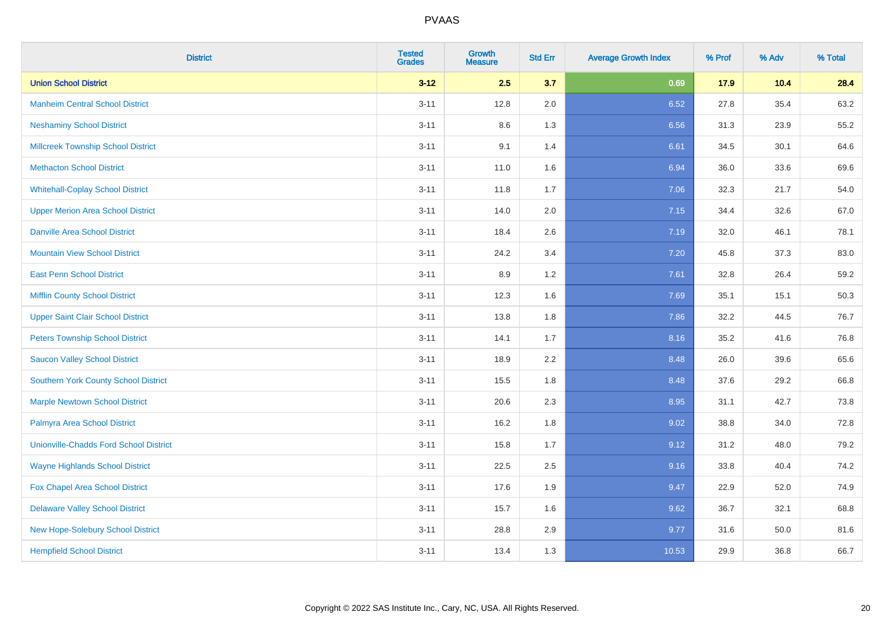| <b>District</b>                               | <b>Tested</b><br><b>Grades</b> | <b>Growth</b><br><b>Measure</b> | <b>Std Err</b> | <b>Average Growth Index</b> | % Prof | % Adv | % Total |
|-----------------------------------------------|--------------------------------|---------------------------------|----------------|-----------------------------|--------|-------|---------|
| <b>Union School District</b>                  | $3 - 12$                       | 2.5                             | 3.7            | 0.69                        | 17.9   | 10.4  | 28.4    |
| <b>Manheim Central School District</b>        | $3 - 11$                       | 12.8                            | 2.0            | 6.52                        | 27.8   | 35.4  | 63.2    |
| <b>Neshaminy School District</b>              | $3 - 11$                       | 8.6                             | 1.3            | 6.56                        | 31.3   | 23.9  | 55.2    |
| <b>Millcreek Township School District</b>     | $3 - 11$                       | 9.1                             | 1.4            | 6.61                        | 34.5   | 30.1  | 64.6    |
| <b>Methacton School District</b>              | $3 - 11$                       | 11.0                            | 1.6            | 6.94                        | 36.0   | 33.6  | 69.6    |
| <b>Whitehall-Coplay School District</b>       | $3 - 11$                       | 11.8                            | 1.7            | 7.06                        | 32.3   | 21.7  | 54.0    |
| <b>Upper Merion Area School District</b>      | $3 - 11$                       | 14.0                            | 2.0            | 7.15                        | 34.4   | 32.6  | 67.0    |
| <b>Danville Area School District</b>          | $3 - 11$                       | 18.4                            | 2.6            | 7.19                        | 32.0   | 46.1  | 78.1    |
| <b>Mountain View School District</b>          | $3 - 11$                       | 24.2                            | 3.4            | 7.20                        | 45.8   | 37.3  | 83.0    |
| <b>East Penn School District</b>              | $3 - 11$                       | 8.9                             | 1.2            | 7.61                        | 32.8   | 26.4  | 59.2    |
| <b>Mifflin County School District</b>         | $3 - 11$                       | 12.3                            | 1.6            | 7.69                        | 35.1   | 15.1  | 50.3    |
| <b>Upper Saint Clair School District</b>      | $3 - 11$                       | 13.8                            | 1.8            | 7.86                        | 32.2   | 44.5  | 76.7    |
| <b>Peters Township School District</b>        | $3 - 11$                       | 14.1                            | 1.7            | 8.16                        | 35.2   | 41.6  | 76.8    |
| <b>Saucon Valley School District</b>          | $3 - 11$                       | 18.9                            | 2.2            | 8.48                        | 26.0   | 39.6  | 65.6    |
| Southern York County School District          | $3 - 11$                       | 15.5                            | 1.8            | 8.48                        | 37.6   | 29.2  | 66.8    |
| <b>Marple Newtown School District</b>         | $3 - 11$                       | 20.6                            | 2.3            | 8.95                        | 31.1   | 42.7  | 73.8    |
| Palmyra Area School District                  | $3 - 11$                       | 16.2                            | 1.8            | 9.02                        | 38.8   | 34.0  | 72.8    |
| <b>Unionville-Chadds Ford School District</b> | $3 - 11$                       | 15.8                            | 1.7            | 9.12                        | 31.2   | 48.0  | 79.2    |
| <b>Wayne Highlands School District</b>        | $3 - 11$                       | 22.5                            | 2.5            | 9.16                        | 33.8   | 40.4  | 74.2    |
| Fox Chapel Area School District               | $3 - 11$                       | 17.6                            | 1.9            | 9.47                        | 22.9   | 52.0  | 74.9    |
| <b>Delaware Valley School District</b>        | $3 - 11$                       | 15.7                            | 1.6            | 9.62                        | 36.7   | 32.1  | 68.8    |
| New Hope-Solebury School District             | $3 - 11$                       | 28.8                            | 2.9            | 9.77                        | 31.6   | 50.0  | 81.6    |
| <b>Hempfield School District</b>              | $3 - 11$                       | 13.4                            | 1.3            | 10.53                       | 29.9   | 36.8  | 66.7    |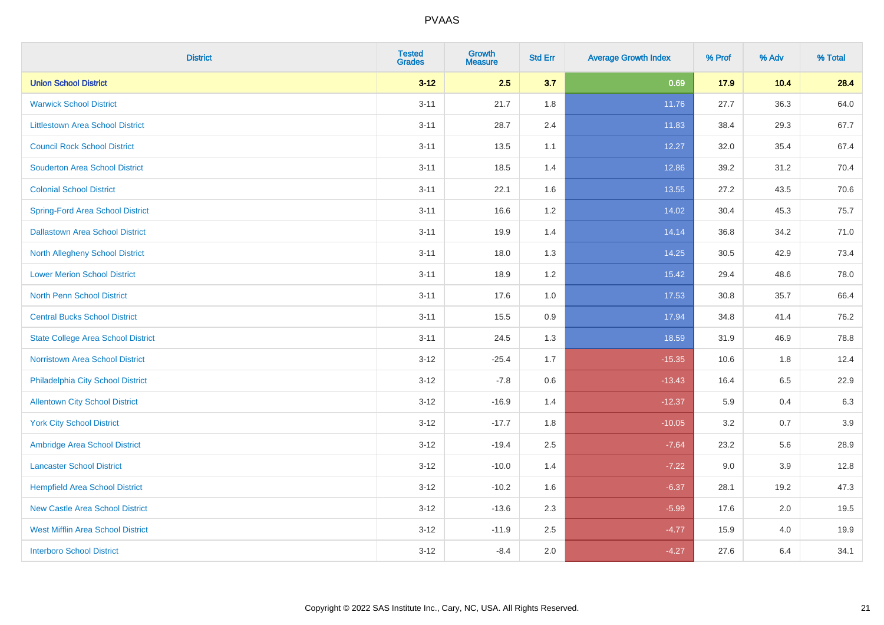| <b>District</b>                           | <b>Tested</b><br><b>Grades</b> | Growth<br><b>Measure</b> | <b>Std Err</b> | <b>Average Growth Index</b> | % Prof | % Adv   | % Total |
|-------------------------------------------|--------------------------------|--------------------------|----------------|-----------------------------|--------|---------|---------|
| <b>Union School District</b>              | $3 - 12$                       | 2.5                      | 3.7            | 0.69                        | 17.9   | 10.4    | 28.4    |
| <b>Warwick School District</b>            | $3 - 11$                       | 21.7                     | 1.8            | 11.76                       | 27.7   | 36.3    | 64.0    |
| <b>Littlestown Area School District</b>   | $3 - 11$                       | 28.7                     | 2.4            | 11.83                       | 38.4   | 29.3    | 67.7    |
| <b>Council Rock School District</b>       | $3 - 11$                       | 13.5                     | 1.1            | 12.27                       | 32.0   | 35.4    | 67.4    |
| <b>Souderton Area School District</b>     | $3 - 11$                       | 18.5                     | 1.4            | 12.86                       | 39.2   | 31.2    | 70.4    |
| <b>Colonial School District</b>           | $3 - 11$                       | 22.1                     | 1.6            | 13.55                       | 27.2   | 43.5    | 70.6    |
| <b>Spring-Ford Area School District</b>   | $3 - 11$                       | 16.6                     | 1.2            | 14.02                       | 30.4   | 45.3    | 75.7    |
| <b>Dallastown Area School District</b>    | $3 - 11$                       | 19.9                     | 1.4            | 14.14                       | 36.8   | 34.2    | 71.0    |
| <b>North Allegheny School District</b>    | $3 - 11$                       | 18.0                     | 1.3            | 14.25                       | 30.5   | 42.9    | 73.4    |
| <b>Lower Merion School District</b>       | $3 - 11$                       | 18.9                     | 1.2            | 15.42                       | 29.4   | 48.6    | 78.0    |
| North Penn School District                | $3 - 11$                       | 17.6                     | 1.0            | 17.53                       | 30.8   | 35.7    | 66.4    |
| <b>Central Bucks School District</b>      | $3 - 11$                       | 15.5                     | 0.9            | 17.94                       | 34.8   | 41.4    | 76.2    |
| <b>State College Area School District</b> | $3 - 11$                       | 24.5                     | 1.3            | 18.59                       | 31.9   | 46.9    | 78.8    |
| Norristown Area School District           | $3 - 12$                       | $-25.4$                  | 1.7            | $-15.35$                    | 10.6   | 1.8     | 12.4    |
| Philadelphia City School District         | $3 - 12$                       | $-7.8$                   | 0.6            | $-13.43$                    | 16.4   | 6.5     | 22.9    |
| <b>Allentown City School District</b>     | $3-12$                         | $-16.9$                  | 1.4            | $-12.37$                    | 5.9    | 0.4     | 6.3     |
| <b>York City School District</b>          | $3 - 12$                       | $-17.7$                  | 1.8            | $-10.05$                    | 3.2    | 0.7     | 3.9     |
| Ambridge Area School District             | $3 - 12$                       | $-19.4$                  | 2.5            | $-7.64$                     | 23.2   | 5.6     | 28.9    |
| <b>Lancaster School District</b>          | $3-12$                         | $-10.0$                  | 1.4            | $-7.22$                     | 9.0    | 3.9     | 12.8    |
| <b>Hempfield Area School District</b>     | $3 - 12$                       | $-10.2$                  | 1.6            | $-6.37$                     | 28.1   | 19.2    | 47.3    |
| <b>New Castle Area School District</b>    | $3 - 12$                       | $-13.6$                  | 2.3            | $-5.99$                     | 17.6   | $2.0\,$ | 19.5    |
| <b>West Mifflin Area School District</b>  | $3 - 12$                       | $-11.9$                  | 2.5            | $-4.77$                     | 15.9   | 4.0     | 19.9    |
| <b>Interboro School District</b>          | $3 - 12$                       | $-8.4$                   | 2.0            | $-4.27$                     | 27.6   | 6.4     | 34.1    |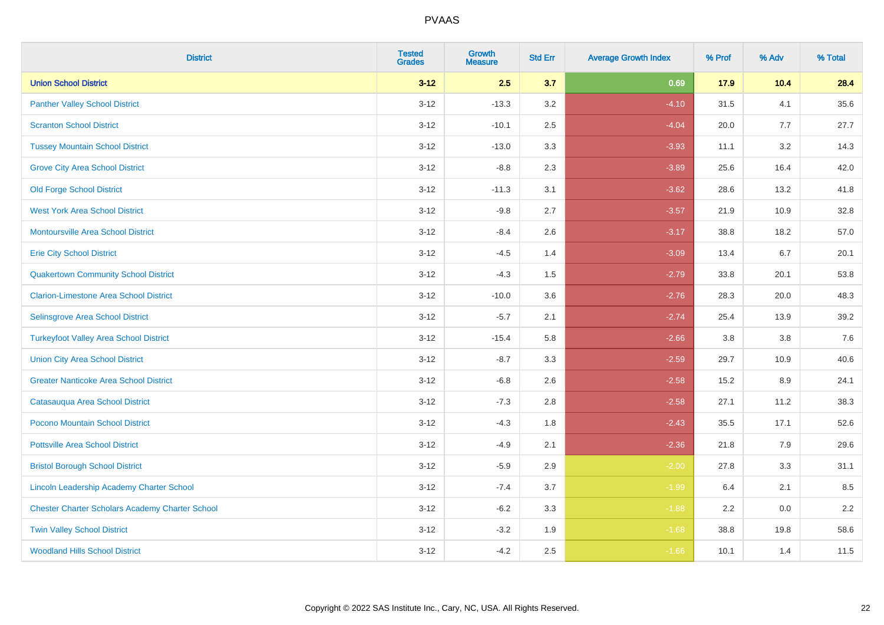| <b>District</b>                                        | <b>Tested</b><br><b>Grades</b> | <b>Growth</b><br><b>Measure</b> | <b>Std Err</b> | <b>Average Growth Index</b> | % Prof | % Adv | % Total |
|--------------------------------------------------------|--------------------------------|---------------------------------|----------------|-----------------------------|--------|-------|---------|
| <b>Union School District</b>                           | $3 - 12$                       | 2.5                             | 3.7            | 0.69                        | 17.9   | 10.4  | 28.4    |
| <b>Panther Valley School District</b>                  | $3 - 12$                       | $-13.3$                         | 3.2            | $-4.10$                     | 31.5   | 4.1   | 35.6    |
| <b>Scranton School District</b>                        | $3 - 12$                       | $-10.1$                         | 2.5            | $-4.04$                     | 20.0   | 7.7   | 27.7    |
| <b>Tussey Mountain School District</b>                 | $3 - 12$                       | $-13.0$                         | 3.3            | $-3.93$                     | 11.1   | 3.2   | 14.3    |
| <b>Grove City Area School District</b>                 | $3 - 12$                       | $-8.8$                          | 2.3            | $-3.89$                     | 25.6   | 16.4  | 42.0    |
| <b>Old Forge School District</b>                       | $3 - 12$                       | $-11.3$                         | 3.1            | $-3.62$                     | 28.6   | 13.2  | 41.8    |
| <b>West York Area School District</b>                  | $3-12$                         | $-9.8$                          | 2.7            | $-3.57$                     | 21.9   | 10.9  | 32.8    |
| Montoursville Area School District                     | $3 - 12$                       | $-8.4$                          | 2.6            | $-3.17$                     | 38.8   | 18.2  | 57.0    |
| <b>Erie City School District</b>                       | $3 - 12$                       | $-4.5$                          | 1.4            | $-3.09$                     | 13.4   | 6.7   | 20.1    |
| <b>Quakertown Community School District</b>            | $3 - 12$                       | $-4.3$                          | 1.5            | $-2.79$                     | 33.8   | 20.1  | 53.8    |
| <b>Clarion-Limestone Area School District</b>          | $3 - 12$                       | $-10.0$                         | 3.6            | $-2.76$                     | 28.3   | 20.0  | 48.3    |
| Selinsgrove Area School District                       | $3 - 12$                       | $-5.7$                          | 2.1            | $-2.74$                     | 25.4   | 13.9  | 39.2    |
| <b>Turkeyfoot Valley Area School District</b>          | $3 - 12$                       | $-15.4$                         | 5.8            | $-2.66$                     | 3.8    | 3.8   | $7.6$   |
| <b>Union City Area School District</b>                 | $3 - 12$                       | $-8.7$                          | 3.3            | $-2.59$                     | 29.7   | 10.9  | 40.6    |
| <b>Greater Nanticoke Area School District</b>          | $3 - 12$                       | $-6.8$                          | 2.6            | $-2.58$                     | 15.2   | 8.9   | 24.1    |
| Catasauqua Area School District                        | $3 - 12$                       | $-7.3$                          | 2.8            | $-2.58$                     | 27.1   | 11.2  | 38.3    |
| Pocono Mountain School District                        | $3 - 12$                       | $-4.3$                          | 1.8            | $-2.43$                     | 35.5   | 17.1  | 52.6    |
| <b>Pottsville Area School District</b>                 | $3 - 12$                       | $-4.9$                          | 2.1            | $-2.36$                     | 21.8   | 7.9   | 29.6    |
| <b>Bristol Borough School District</b>                 | $3 - 12$                       | $-5.9$                          | 2.9            | $-2.00$                     | 27.8   | 3.3   | 31.1    |
| Lincoln Leadership Academy Charter School              | $3 - 12$                       | $-7.4$                          | 3.7            | $-1.99$                     | 6.4    | 2.1   | 8.5     |
| <b>Chester Charter Scholars Academy Charter School</b> | $3 - 12$                       | $-6.2$                          | 3.3            | $-1.88$                     | 2.2    | 0.0   | 2.2     |
| <b>Twin Valley School District</b>                     | $3 - 12$                       | $-3.2$                          | 1.9            | $-1.68$                     | 38.8   | 19.8  | 58.6    |
| <b>Woodland Hills School District</b>                  | $3 - 12$                       | $-4.2$                          | 2.5            | $-1.66$                     | 10.1   | 1.4   | 11.5    |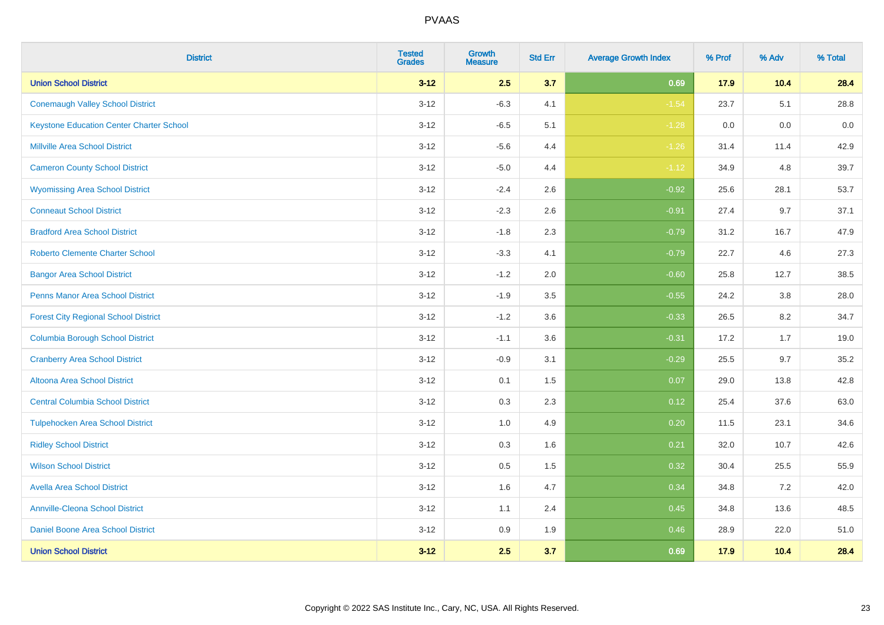| <b>District</b>                                 | <b>Tested</b><br><b>Grades</b> | <b>Growth</b><br><b>Measure</b> | <b>Std Err</b> | <b>Average Growth Index</b> | % Prof | % Adv | % Total |
|-------------------------------------------------|--------------------------------|---------------------------------|----------------|-----------------------------|--------|-------|---------|
| <b>Union School District</b>                    | $3 - 12$                       | 2.5                             | 3.7            | 0.69                        | 17.9   | 10.4  | 28.4    |
| <b>Conemaugh Valley School District</b>         | $3 - 12$                       | $-6.3$                          | 4.1            | $-1.54$                     | 23.7   | 5.1   | 28.8    |
| <b>Keystone Education Center Charter School</b> | $3 - 12$                       | $-6.5$                          | 5.1            | $-1.28$                     | 0.0    | 0.0   | 0.0     |
| <b>Millville Area School District</b>           | $3 - 12$                       | $-5.6$                          | 4.4            | $-1.26$                     | 31.4   | 11.4  | 42.9    |
| <b>Cameron County School District</b>           | $3 - 12$                       | $-5.0$                          | 4.4            | $-1.12$                     | 34.9   | 4.8   | 39.7    |
| <b>Wyomissing Area School District</b>          | $3 - 12$                       | $-2.4$                          | 2.6            | $-0.92$                     | 25.6   | 28.1  | 53.7    |
| <b>Conneaut School District</b>                 | $3 - 12$                       | $-2.3$                          | 2.6            | $-0.91$                     | 27.4   | 9.7   | 37.1    |
| <b>Bradford Area School District</b>            | $3 - 12$                       | $-1.8$                          | 2.3            | $-0.79$                     | 31.2   | 16.7  | 47.9    |
| <b>Roberto Clemente Charter School</b>          | $3 - 12$                       | $-3.3$                          | 4.1            | $-0.79$                     | 22.7   | 4.6   | 27.3    |
| <b>Bangor Area School District</b>              | $3-12$                         | $-1.2$                          | 2.0            | $-0.60$                     | 25.8   | 12.7  | 38.5    |
| Penns Manor Area School District                | $3-12$                         | $-1.9$                          | 3.5            | $-0.55$                     | 24.2   | 3.8   | 28.0    |
| <b>Forest City Regional School District</b>     | $3 - 12$                       | $-1.2$                          | 3.6            | $-0.33$                     | 26.5   | 8.2   | 34.7    |
| <b>Columbia Borough School District</b>         | $3 - 12$                       | $-1.1$                          | 3.6            | $-0.31$                     | 17.2   | 1.7   | 19.0    |
| <b>Cranberry Area School District</b>           | $3-12$                         | $-0.9$                          | 3.1            | $-0.29$                     | 25.5   | 9.7   | 35.2    |
| <b>Altoona Area School District</b>             | $3 - 12$                       | 0.1                             | 1.5            | 0.07                        | 29.0   | 13.8  | 42.8    |
| <b>Central Columbia School District</b>         | $3 - 12$                       | 0.3                             | 2.3            | 0.12                        | 25.4   | 37.6  | 63.0    |
| <b>Tulpehocken Area School District</b>         | $3-12$                         | 1.0                             | 4.9            | 0.20                        | 11.5   | 23.1  | 34.6    |
| <b>Ridley School District</b>                   | $3 - 12$                       | 0.3                             | 1.6            | 0.21                        | 32.0   | 10.7  | 42.6    |
| <b>Wilson School District</b>                   | $3 - 12$                       | $0.5\,$                         | 1.5            | 0.32                        | 30.4   | 25.5  | 55.9    |
| <b>Avella Area School District</b>              | $3 - 12$                       | 1.6                             | 4.7            | 0.34                        | 34.8   | 7.2   | 42.0    |
| <b>Annville-Cleona School District</b>          | $3 - 12$                       | 1.1                             | 2.4            | 0.45                        | 34.8   | 13.6  | 48.5    |
| Daniel Boone Area School District               | $3 - 12$                       | $0.9\,$                         | 1.9            | 0.46                        | 28.9   | 22.0  | 51.0    |
| <b>Union School District</b>                    | $3 - 12$                       | 2.5                             | 3.7            | 0.69                        | 17.9   | 10.4  | 28.4    |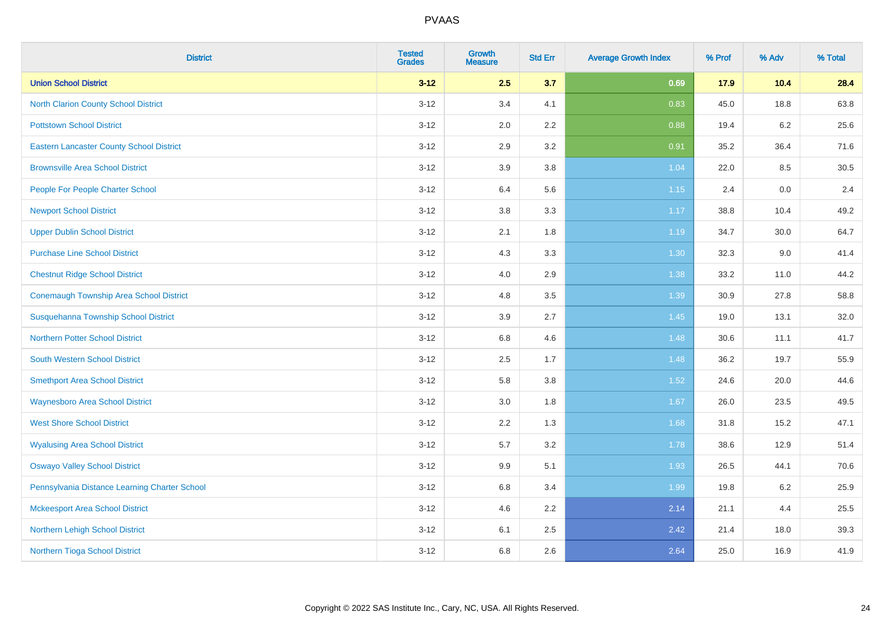| <b>District</b>                                 | <b>Tested</b><br><b>Grades</b> | <b>Growth</b><br><b>Measure</b> | <b>Std Err</b> | <b>Average Growth Index</b> | % Prof | % Adv   | % Total |
|-------------------------------------------------|--------------------------------|---------------------------------|----------------|-----------------------------|--------|---------|---------|
| <b>Union School District</b>                    | $3 - 12$                       | 2.5                             | 3.7            | 0.69                        | 17.9   | 10.4    | 28.4    |
| <b>North Clarion County School District</b>     | $3 - 12$                       | 3.4                             | 4.1            | 0.83                        | 45.0   | 18.8    | 63.8    |
| <b>Pottstown School District</b>                | $3 - 12$                       | 2.0                             | 2.2            | 0.88                        | 19.4   | $6.2\,$ | 25.6    |
| <b>Eastern Lancaster County School District</b> | $3 - 12$                       | 2.9                             | 3.2            | 0.91                        | 35.2   | 36.4    | 71.6    |
| <b>Brownsville Area School District</b>         | $3 - 12$                       | 3.9                             | 3.8            | 1.04                        | 22.0   | 8.5     | 30.5    |
| People For People Charter School                | $3 - 12$                       | 6.4                             | 5.6            | 1.15                        | 2.4    | 0.0     | 2.4     |
| <b>Newport School District</b>                  | $3 - 12$                       | $3.8\,$                         | 3.3            | 1.17                        | 38.8   | 10.4    | 49.2    |
| <b>Upper Dublin School District</b>             | $3 - 12$                       | 2.1                             | 1.8            | 1.19                        | 34.7   | 30.0    | 64.7    |
| <b>Purchase Line School District</b>            | $3 - 12$                       | 4.3                             | 3.3            | 1.30                        | 32.3   | 9.0     | 41.4    |
| <b>Chestnut Ridge School District</b>           | $3 - 12$                       | 4.0                             | 2.9            | 1.38                        | 33.2   | 11.0    | 44.2    |
| <b>Conemaugh Township Area School District</b>  | $3 - 12$                       | 4.8                             | 3.5            | 1.39                        | 30.9   | 27.8    | 58.8    |
| Susquehanna Township School District            | $3 - 12$                       | 3.9                             | 2.7            | 1.45                        | 19.0   | 13.1    | 32.0    |
| <b>Northern Potter School District</b>          | $3 - 12$                       | 6.8                             | 4.6            | 1.48                        | 30.6   | 11.1    | 41.7    |
| <b>South Western School District</b>            | $3-12$                         | 2.5                             | 1.7            | 1.48                        | 36.2   | 19.7    | 55.9    |
| <b>Smethport Area School District</b>           | $3 - 12$                       | 5.8                             | 3.8            | 1.52                        | 24.6   | 20.0    | 44.6    |
| <b>Waynesboro Area School District</b>          | $3-12$                         | 3.0                             | 1.8            | 1.67                        | 26.0   | 23.5    | 49.5    |
| <b>West Shore School District</b>               | $3-12$                         | 2.2                             | 1.3            | 1.68                        | 31.8   | 15.2    | 47.1    |
| <b>Wyalusing Area School District</b>           | $3 - 12$                       | 5.7                             | 3.2            | 1.78                        | 38.6   | 12.9    | 51.4    |
| <b>Oswayo Valley School District</b>            | $3 - 12$                       | 9.9                             | 5.1            | 1.93                        | 26.5   | 44.1    | 70.6    |
| Pennsylvania Distance Learning Charter School   | $3-12$                         | 6.8                             | 3.4            | 1.99                        | 19.8   | $6.2\,$ | 25.9    |
| <b>Mckeesport Area School District</b>          | $3-12$                         | 4.6                             | 2.2            | 2.14                        | 21.1   | 4.4     | 25.5    |
| Northern Lehigh School District                 | $3 - 12$                       | 6.1                             | 2.5            | 2.42                        | 21.4   | 18.0    | 39.3    |
| Northern Tioga School District                  | $3-12$                         | 6.8                             | 2.6            | 2.64                        | 25.0   | 16.9    | 41.9    |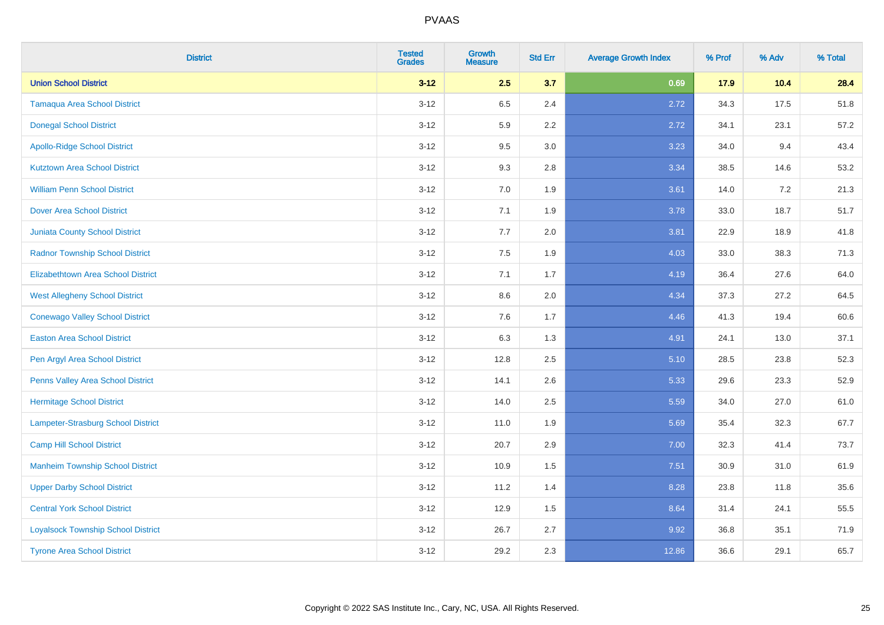| <b>District</b>                           | <b>Tested</b><br><b>Grades</b> | <b>Growth</b><br><b>Measure</b> | <b>Std Err</b> | <b>Average Growth Index</b> | % Prof | % Adv | % Total |
|-------------------------------------------|--------------------------------|---------------------------------|----------------|-----------------------------|--------|-------|---------|
| <b>Union School District</b>              | $3 - 12$                       | 2.5                             | 3.7            | 0.69                        | 17.9   | 10.4  | 28.4    |
| <b>Tamaqua Area School District</b>       | $3 - 12$                       | 6.5                             | 2.4            | 2.72                        | 34.3   | 17.5  | 51.8    |
| <b>Donegal School District</b>            | $3 - 12$                       | 5.9                             | 2.2            | 2.72                        | 34.1   | 23.1  | 57.2    |
| <b>Apollo-Ridge School District</b>       | $3-12$                         | 9.5                             | 3.0            | 3.23                        | 34.0   | 9.4   | 43.4    |
| <b>Kutztown Area School District</b>      | $3-12$                         | 9.3                             | 2.8            | 3.34                        | 38.5   | 14.6  | 53.2    |
| <b>William Penn School District</b>       | $3 - 12$                       | 7.0                             | 1.9            | 3.61                        | 14.0   | 7.2   | 21.3    |
| <b>Dover Area School District</b>         | $3 - 12$                       | 7.1                             | 1.9            | 3.78                        | 33.0   | 18.7  | 51.7    |
| <b>Juniata County School District</b>     | $3-12$                         | 7.7                             | 2.0            | 3.81                        | 22.9   | 18.9  | 41.8    |
| <b>Radnor Township School District</b>    | $3-12$                         | 7.5                             | 1.9            | 4.03                        | 33.0   | 38.3  | 71.3    |
| <b>Elizabethtown Area School District</b> | $3 - 12$                       | 7.1                             | 1.7            | 4.19                        | 36.4   | 27.6  | 64.0    |
| <b>West Allegheny School District</b>     | $3 - 12$                       | 8.6                             | 2.0            | 4.34                        | 37.3   | 27.2  | 64.5    |
| <b>Conewago Valley School District</b>    | $3 - 12$                       | 7.6                             | 1.7            | 4.46                        | 41.3   | 19.4  | 60.6    |
| <b>Easton Area School District</b>        | $3 - 12$                       | 6.3                             | 1.3            | 4.91                        | 24.1   | 13.0  | 37.1    |
| Pen Argyl Area School District            | $3 - 12$                       | 12.8                            | 2.5            | 5.10                        | 28.5   | 23.8  | 52.3    |
| Penns Valley Area School District         | $3-12$                         | 14.1                            | 2.6            | 5.33                        | 29.6   | 23.3  | 52.9    |
| <b>Hermitage School District</b>          | $3 - 12$                       | 14.0                            | 2.5            | 5.59                        | 34.0   | 27.0  | 61.0    |
| <b>Lampeter-Strasburg School District</b> | $3 - 12$                       | 11.0                            | 1.9            | 5.69                        | 35.4   | 32.3  | 67.7    |
| <b>Camp Hill School District</b>          | $3-12$                         | 20.7                            | 2.9            | 7.00                        | 32.3   | 41.4  | 73.7    |
| <b>Manheim Township School District</b>   | $3 - 12$                       | 10.9                            | 1.5            | 7.51                        | 30.9   | 31.0  | 61.9    |
| <b>Upper Darby School District</b>        | $3-12$                         | 11.2                            | 1.4            | 8.28                        | 23.8   | 11.8  | 35.6    |
| <b>Central York School District</b>       | $3 - 12$                       | 12.9                            | 1.5            | 8.64                        | 31.4   | 24.1  | 55.5    |
| <b>Loyalsock Township School District</b> | $3 - 12$                       | 26.7                            | 2.7            | 9.92                        | 36.8   | 35.1  | 71.9    |
| <b>Tyrone Area School District</b>        | $3 - 12$                       | 29.2                            | 2.3            | 12.86                       | 36.6   | 29.1  | 65.7    |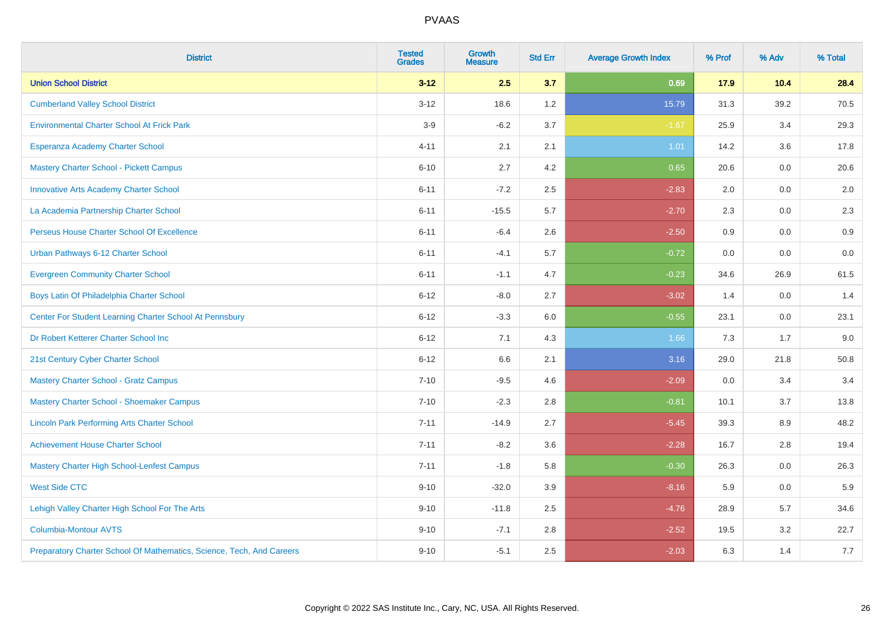| <b>District</b>                                                       | <b>Tested</b><br><b>Grades</b> | <b>Growth</b><br><b>Measure</b> | <b>Std Err</b> | <b>Average Growth Index</b> | % Prof | % Adv | % Total |
|-----------------------------------------------------------------------|--------------------------------|---------------------------------|----------------|-----------------------------|--------|-------|---------|
| <b>Union School District</b>                                          | $3 - 12$                       | 2.5                             | 3.7            | 0.69                        | 17.9   | 10.4  | 28.4    |
| <b>Cumberland Valley School District</b>                              | $3 - 12$                       | 18.6                            | 1.2            | 15.79                       | 31.3   | 39.2  | 70.5    |
| <b>Environmental Charter School At Frick Park</b>                     | $3-9$                          | $-6.2$                          | 3.7            | $-1.67$                     | 25.9   | 3.4   | 29.3    |
| Esperanza Academy Charter School                                      | $4 - 11$                       | 2.1                             | 2.1            | 1.01                        | 14.2   | 3.6   | 17.8    |
| <b>Mastery Charter School - Pickett Campus</b>                        | $6 - 10$                       | 2.7                             | 4.2            | 0.65                        | 20.6   | 0.0   | 20.6    |
| <b>Innovative Arts Academy Charter School</b>                         | $6 - 11$                       | $-7.2$                          | 2.5            | $-2.83$                     | 2.0    | 0.0   | 2.0     |
| La Academia Partnership Charter School                                | $6 - 11$                       | $-15.5$                         | 5.7            | $-2.70$                     | 2.3    | 0.0   | $2.3\,$ |
| Perseus House Charter School Of Excellence                            | $6 - 11$                       | $-6.4$                          | 2.6            | $-2.50$                     | 0.9    | 0.0   | 0.9     |
| Urban Pathways 6-12 Charter School                                    | $6 - 11$                       | $-4.1$                          | 5.7            | $-0.72$                     | 0.0    | 0.0   | 0.0     |
| <b>Evergreen Community Charter School</b>                             | $6 - 11$                       | $-1.1$                          | 4.7            | $-0.23$                     | 34.6   | 26.9  | 61.5    |
| Boys Latin Of Philadelphia Charter School                             | $6 - 12$                       | $-8.0$                          | 2.7            | $-3.02$                     | 1.4    | 0.0   | 1.4     |
| Center For Student Learning Charter School At Pennsbury               | $6 - 12$                       | $-3.3$                          | 6.0            | $-0.55$                     | 23.1   | 0.0   | 23.1    |
| Dr Robert Ketterer Charter School Inc                                 | $6 - 12$                       | 7.1                             | 4.3            | 1.66                        | 7.3    | 1.7   | 9.0     |
| 21st Century Cyber Charter School                                     | $6 - 12$                       | 6.6                             | 2.1            | 3.16                        | 29.0   | 21.8  | 50.8    |
| <b>Mastery Charter School - Gratz Campus</b>                          | $7 - 10$                       | $-9.5$                          | 4.6            | $-2.09$                     | 0.0    | 3.4   | 3.4     |
| Mastery Charter School - Shoemaker Campus                             | $7 - 10$                       | $-2.3$                          | 2.8            | $-0.81$                     | 10.1   | 3.7   | 13.8    |
| <b>Lincoln Park Performing Arts Charter School</b>                    | $7 - 11$                       | $-14.9$                         | 2.7            | $-5.45$                     | 39.3   | 8.9   | 48.2    |
| <b>Achievement House Charter School</b>                               | $7 - 11$                       | $-8.2$                          | 3.6            | $-2.28$                     | 16.7   | 2.8   | 19.4    |
| <b>Mastery Charter High School-Lenfest Campus</b>                     | $7 - 11$                       | $-1.8$                          | 5.8            | $-0.30$                     | 26.3   | 0.0   | 26.3    |
| <b>West Side CTC</b>                                                  | $9 - 10$                       | $-32.0$                         | 3.9            | $-8.16$                     | 5.9    | 0.0   | 5.9     |
| Lehigh Valley Charter High School For The Arts                        | $9 - 10$                       | $-11.8$                         | 2.5            | $-4.76$                     | 28.9   | 5.7   | 34.6    |
| <b>Columbia-Montour AVTS</b>                                          | $9 - 10$                       | $-7.1$                          | 2.8            | $-2.52$                     | 19.5   | 3.2   | 22.7    |
| Preparatory Charter School Of Mathematics, Science, Tech, And Careers | $9 - 10$                       | $-5.1$                          | 2.5            | $-2.03$                     | 6.3    | 1.4   | 7.7     |